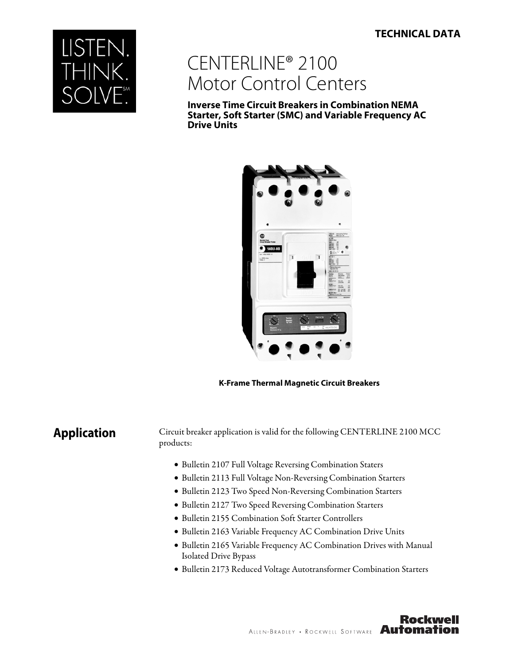### **TECHNICAL DATA**



# CENTERLINE® 2100 Motor Control Centers

**Inverse Time Circuit Breakers in Combination NEMA Starter, Soft Starter (SMC) and Variable Frequency AC Drive Units**



**K-Frame Thermal Magnetic Circuit Breakers**

**Application** Circuit breaker application is valid for the following CENTERLINE 2100 MCC products:

- Bulletin 2107 Full Voltage Reversing Combination Staters
- Bulletin 2113 Full Voltage Non-Reversing Combination Starters
- Bulletin 2123 Two Speed Non-Reversing Combination Starters
- Bulletin 2127 Two Speed Reversing Combination Starters
- Bulletin 2155 Combination Soft Starter Controllers
- Bulletin 2163 Variable Frequency AC Combination Drive Units
- Bulletin 2165 Variable Frequency AC Combination Drives with Manual Isolated Drive Bypass
- Bulletin 2173 Reduced Voltage Autotransformer Combination Starters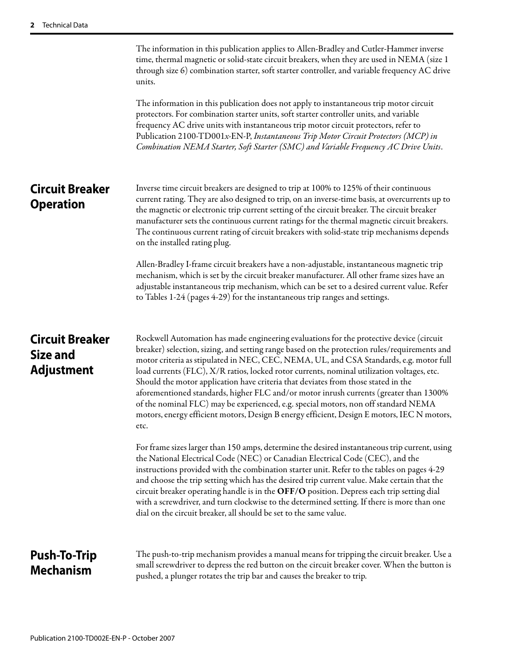|                                                         | The information in this publication applies to Allen-Bradley and Cutler-Hammer inverse<br>time, thermal magnetic or solid-state circuit breakers, when they are used in NEMA (size 1)<br>through size 6) combination starter, soft starter controller, and variable frequency AC drive<br>units.<br>The information in this publication does not apply to instantaneous trip motor circuit<br>protectors. For combination starter units, soft starter controller units, and variable<br>frequency AC drive units with instantaneous trip motor circuit protectors, refer to<br>Publication 2100-TD001x-EN-P, Instantaneous Trip Motor Circuit Protectors (MCP) in<br>Combination NEMA Starter, Soft Starter (SMC) and Variable Frequency AC Drive Units.                                                                                                                                                                                                                                                                                                                                                                                                                                                                                                                                                                                                                                                  |
|---------------------------------------------------------|-----------------------------------------------------------------------------------------------------------------------------------------------------------------------------------------------------------------------------------------------------------------------------------------------------------------------------------------------------------------------------------------------------------------------------------------------------------------------------------------------------------------------------------------------------------------------------------------------------------------------------------------------------------------------------------------------------------------------------------------------------------------------------------------------------------------------------------------------------------------------------------------------------------------------------------------------------------------------------------------------------------------------------------------------------------------------------------------------------------------------------------------------------------------------------------------------------------------------------------------------------------------------------------------------------------------------------------------------------------------------------------------------------------|
| <b>Circuit Breaker</b><br><b>Operation</b>              | Inverse time circuit breakers are designed to trip at 100% to 125% of their continuous<br>current rating. They are also designed to trip, on an inverse-time basis, at overcurrents up to<br>the magnetic or electronic trip current setting of the circuit breaker. The circuit breaker<br>manufacturer sets the continuous current ratings for the thermal magnetic circuit breakers.<br>The continuous current rating of circuit breakers with solid-state trip mechanisms depends<br>on the installed rating plug.<br>Allen-Bradley I-frame circuit breakers have a non-adjustable, instantaneous magnetic trip<br>mechanism, which is set by the circuit breaker manufacturer. All other frame sizes have an<br>adjustable instantaneous trip mechanism, which can be set to a desired current value. Refer<br>to Tables 1-24 (pages 4-29) for the instantaneous trip ranges and settings.                                                                                                                                                                                                                                                                                                                                                                                                                                                                                                           |
| <b>Circuit Breaker</b><br>Size and<br><b>Adjustment</b> | Rockwell Automation has made engineering evaluations for the protective device (circuit<br>breaker) selection, sizing, and setting range based on the protection rules/requirements and<br>motor criteria as stipulated in NEC, CEC, NEMA, UL, and CSA Standards, e.g. motor full<br>load currents (FLC), X/R ratios, locked rotor currents, nominal utilization voltages, etc.<br>Should the motor application have criteria that deviates from those stated in the<br>aforementioned standards, higher FLC and/or motor inrush currents (greater than 1300%<br>of the nominal FLC) may be experienced, e.g. special motors, non off standard NEMA<br>motors, energy efficient motors, Design B energy efficient, Design E motors, IEC N motors,<br>etc.<br>For frame sizes larger than 150 amps, determine the desired instantaneous trip current, using<br>the National Electrical Code (NEC) or Canadian Electrical Code (CEC), and the<br>instructions provided with the combination starter unit. Refer to the tables on pages 4-29<br>and choose the trip setting which has the desired trip current value. Make certain that the<br>circuit breaker operating handle is in the OFF/O position. Depress each trip setting dial<br>with a screwdriver, and turn clockwise to the determined setting. If there is more than one<br>dial on the circuit breaker, all should be set to the same value. |
| <b>Push-To-Trip</b><br><b>Mechanism</b>                 | The push-to-trip mechanism provides a manual means for tripping the circuit breaker. Use a<br>small screwdriver to depress the red button on the circuit breaker cover. When the button is<br>pushed, a plunger rotates the trip bar and causes the breaker to trip.                                                                                                                                                                                                                                                                                                                                                                                                                                                                                                                                                                                                                                                                                                                                                                                                                                                                                                                                                                                                                                                                                                                                      |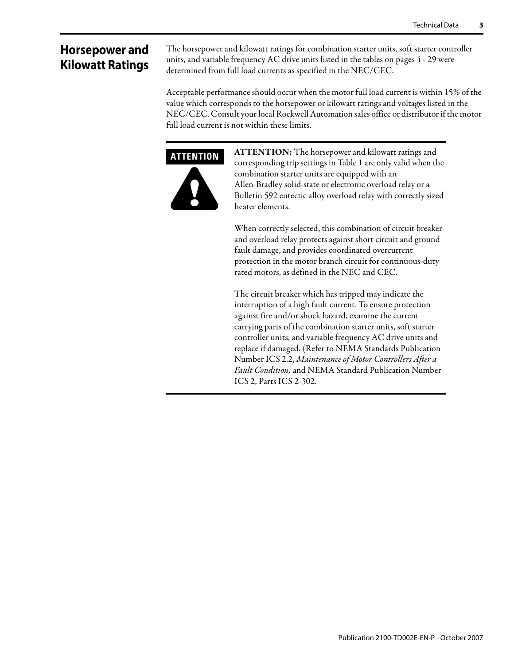## **Horsepower and Kilowatt Ratings**

The horsepower and kilowatt ratings for combination starter units, soft starter controller units, and variable frequency AC drive units listed in the tables on pages 4 - 29 were determined from full load currents as specified in the NEC/CEC.

Acceptable performance should occur when the motor full load current is within 15% of the value which corresponds to the horsepower or kilowatt ratings and voltages listed in the NEC/CEC. Consult your local Rockwell Automation sales office or distributor if the motor full load current is not within these limits.



**ATTENTION:** The horsepower and kilowatt ratings and corresponding trip settings in Table 1 are only valid when the combination starter units are equipped with an Allen-Bradley solid-state or electronic overload relay or a Bulletin 592 eutectic alloy overload relay with correctly sized heater elements.

When correctly selected, this combination of circuit breaker and overload relay protects against short circuit and ground fault damage, and provides coordinated overcurrent protection in the motor branch circuit for continuous-duty rated motors, as defined in the NEC and CEC.

The circuit breaker which has tripped may indicate the interruption of a high fault current. To ensure protection against fire and/or shock hazard, examine the current carrying parts of the combination starter units, soft starter controller units, and variable frequency AC drive units and replace if damaged. (Refer to NEMA Standards Publication Number ICS 2.2, Maintenance of Motor Controllers After a Fault Condition, and NEMA Standard Publication Number ICS 2, Parts ICS 2-302.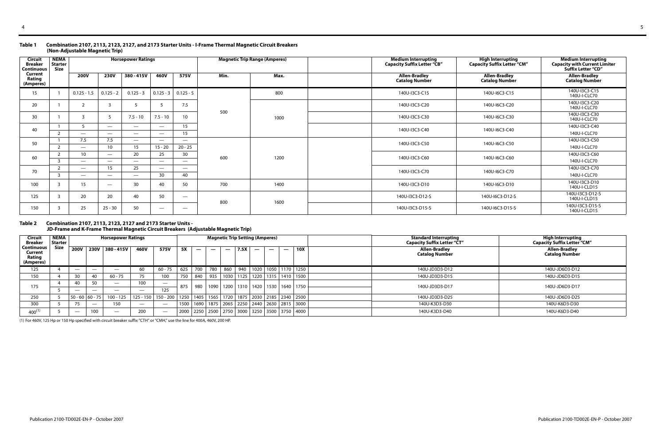#### **Table 1 Combination 2107, 2113, 2123, 2127, and 2173 Starter Units - I-Frame Thermal Magnetic Circuit Breakers (Non-Adjustable Magnetic Trip)**

#### **Table 2 Combination 2107, 2113, 2123, 2127 and 2173 Starter Units - JD-Frame and K-Frame Thermal Magnetic Circuit Breakers (Adjustable Magnetic Trip)**

| Circuit<br><b>Breaker</b><br><b>Continuous</b> | <b>NEMA</b><br><b>Starter</b><br><b>Size</b> |                          |                          | <b>Horsepower Ratings</b> |                          |                                 |      | <b>Magnetic Trip Range (Amperes)</b> | <b>Medium Interrupting</b><br><b>Capacity Suffix Letter "CB"</b> | <b>High Interrupting</b><br><b>Capacity Suffix Letter "CM"</b> | <b>Medium Interrupting</b><br><b>Capacity with Current Limiter</b><br>Suffix Letter "CD" |
|------------------------------------------------|----------------------------------------------|--------------------------|--------------------------|---------------------------|--------------------------|---------------------------------|------|--------------------------------------|------------------------------------------------------------------|----------------------------------------------------------------|------------------------------------------------------------------------------------------|
| Current<br>Rating<br>(Amperes)                 |                                              | <b>200V</b>              | <b>230V</b>              | 380 - 415V                | 460V                     | 575V                            | Min. | Max.                                 | <b>Allen-Bradley</b><br><b>Catalog Number</b>                    | <b>Allen-Bradley</b><br><b>Catalog Number</b>                  | <b>Allen-Bradley</b><br><b>Catalog Number</b>                                            |
| 15                                             |                                              | $0.125 - 1.5$            | $0.125 - 2$              | $0.125 - 3$               | $0.125 - 3$              | $0.125 - 5$                     |      | 800                                  | 140U-I3C3-C15                                                    | 140U-I6C3-C15                                                  | 140U-I3C3-C15<br>140U-I-CLC70                                                            |
| 20                                             |                                              |                          |                          | -5                        |                          | 7.5                             |      |                                      | 140U-I3C3-C20                                                    | 140U-I6C3-C20                                                  | 140U-I3C3-C20<br>140U-I-CLC70                                                            |
| 30                                             |                                              |                          |                          | $7.5 - 10$                | $7.5 - 10$               | 10 <sup>°</sup>                 | 500  | 1000                                 | 140U-I3C3-C30                                                    | 140U-I6C3-C30                                                  | 140U-I3C3-C30<br>140U-I-CLC70                                                            |
| 40                                             |                                              |                          | $\overline{\phantom{m}}$ | $\overline{\phantom{m}}$  | $\overline{\phantom{m}}$ | 15 <sup>2</sup>                 |      |                                      | 140U-I3C3-C40                                                    | 140U-I6C3-C40                                                  | 140U-I3C3-C40                                                                            |
|                                                | $\mathcal{L}$                                | $\overline{\phantom{a}}$ |                          | $\overline{\phantom{a}}$  | $\overline{\phantom{a}}$ | 15                              |      |                                      |                                                                  |                                                                | 140U-I-CLC70                                                                             |
| 50                                             |                                              | 7.5                      | 7.5                      | $\overline{\phantom{m}}$  | $\overline{\phantom{m}}$ | $\overline{\phantom{m}}$        |      |                                      | 140U-I3C3-C50                                                    | 140U-I6C3-C50                                                  | 140U-I3C3-C50                                                                            |
|                                                | $\mathcal{L}$                                | $\overline{\phantom{a}}$ | 10                       | 15                        | $15 - 20$                | $20 - 25$                       |      |                                      |                                                                  |                                                                | 140U-I-CLC70                                                                             |
| 60                                             |                                              | 10                       | $\overline{\phantom{m}}$ | 20                        | 25                       | 30                              | 600  | 1200                                 | 140U-I3C3-C60                                                    | 140U-I6C3-C60                                                  | 140U-I3C3-C60                                                                            |
|                                                | २                                            | $\overline{\phantom{0}}$ |                          | $\overline{\phantom{m}}$  | $\overline{\phantom{a}}$ |                                 |      |                                      |                                                                  |                                                                | 140U-I-CLC70                                                                             |
| 70                                             |                                              | $\overline{\phantom{a}}$ | 15                       | 25                        | $\overline{\phantom{m}}$ | $\overline{\phantom{a}}$        |      |                                      | 140U-I3C3-C70                                                    | 140U-I6C3-C70                                                  | 140U-I3C3-C70                                                                            |
|                                                | 3                                            | $\overline{\phantom{a}}$ | $\overline{\phantom{m}}$ | $\overline{\phantom{m}}$  | 30                       | 40                              |      |                                      |                                                                  |                                                                | 140U-I-CLC70                                                                             |
| 100                                            |                                              | 15                       | $\overline{\phantom{m}}$ | 30                        | 40                       | 50                              | 700  | 1400                                 | 140U-I3C3-D10                                                    | 140U-I6C3-D10                                                  | 140U-I3C3-D10<br>140U-I-CLD15                                                            |
| 125                                            |                                              | 20                       | 20                       | 40                        | 50                       | $\overbrace{\phantom{1232211}}$ | 800  | 1600                                 | 140U-I3C3-D12-S                                                  | 140U-I6C3-D12-S                                                | 140U-I3C3-D12-S<br>140U-I-CLD15                                                          |
| 150                                            |                                              | 25                       | $25 - 30$                | 50                        | $\overline{\phantom{a}}$ | $\hspace{0.1mm}-\hspace{0.1mm}$ |      |                                      | 140U-I3C3-D15-S                                                  | 140U-I6C3-D15-S                                                | 140U-I3C3-D15-S<br>140U-I-CLD15                                                          |

| Circuit<br><b>Breaker</b>                    | <b>NEMA</b><br><b>Starter</b> |                          |                          | <b>Horsepower Ratings</b> |      |                                                                                      |      |     |                          |     | <b>Magnetic Trip Setting (Amperes)</b> |      |                          |                                                              |     | <b>Standard Interrupting</b><br><b>Capacity Suffix Letter "CT"</b> | High Interrupting<br>"Capacity Suffix Letter "CM |
|----------------------------------------------|-------------------------------|--------------------------|--------------------------|---------------------------|------|--------------------------------------------------------------------------------------|------|-----|--------------------------|-----|----------------------------------------|------|--------------------------|--------------------------------------------------------------|-----|--------------------------------------------------------------------|--------------------------------------------------|
| Continuous<br>Current<br>Rating<br>(Amperes) | <b>Size</b>                   |                          |                          | 200V 230V 380-415V        | 460V | 575V                                                                                 | 5X   | —   | $\overline{\phantom{a}}$ |     | 7.5X                                   |      | $\overline{\phantom{m}}$ | $\overline{\phantom{a}}$                                     | 10X | Allen-Bradley<br><b>Catalog Number</b>                             | <b>Allen-Bradley</b><br><b>Catalog Number</b>    |
| 125                                          |                               |                          | $\overline{\phantom{a}}$ | —                         | 60   | 60 - 75                                                                              | 625  | 700 | 780                      | 860 | 940                                    | 1020 |                          | 1050   1170   1250                                           |     | 140U-JD3D3-D12                                                     | 140U-JD6D3-D12                                   |
| 150                                          |                               | 30                       | 40                       | $60 - 75$                 | 75   | 100                                                                                  | 750  | 840 | 935                      |     |                                        |      |                          | 1030   1125   1220   1315   1410   1500                      |     | 140U-JD3D3-D15                                                     | 140U-JD6D3-D15                                   |
| 175                                          |                               | 40                       | 50                       |                           | 100  | $\overline{\phantom{a}}$                                                             | 875  | 980 |                          |     |                                        |      |                          | 1090   1200   1310   1420   1530   1640   1750               |     | 140U-JD3D3-D17                                                     | 140U-JD6D3-D17                                   |
|                                              |                               |                          |                          |                           |      | 125                                                                                  |      |     |                          |     |                                        |      |                          |                                                              |     |                                                                    |                                                  |
| 250                                          |                               | $50 - 60$ 60 - 75        |                          | $100 - 125$               |      | 125 - 150   150 - 200   1250   1405   1565   1720   1875   2030   2185   2340   2500 |      |     |                          |     |                                        |      |                          |                                                              |     | 140U-JD3D3-D25                                                     | 140U-JD6D3-D25                                   |
| 300                                          |                               | 75                       |                          | 150                       |      | $\overline{\phantom{a}}$                                                             | 1500 |     |                          |     |                                        |      |                          | 1690   1875   2065   2250   2440   2630   2815   3000        |     | 140U-K3D3-D30                                                      | 140U-K6D3-D30                                    |
| $400^{(1)}$                                  |                               | $\overline{\phantom{m}}$ | 100                      | $\overline{\phantom{m}}$  | 200  | $\overline{\phantom{a}}$                                                             |      |     |                          |     |                                        |      |                          | 2000   2250   2500   2750   3000   3250   3500   3750   4000 |     | 140U-K3D3-D40                                                      | 140U-K6D3-D40                                    |

(1) For 460V, 125 Hp or 150 Hp specified with circuit breaker suffix "CTH" or "CMH," use the line for 400A, 460V, 200 HP.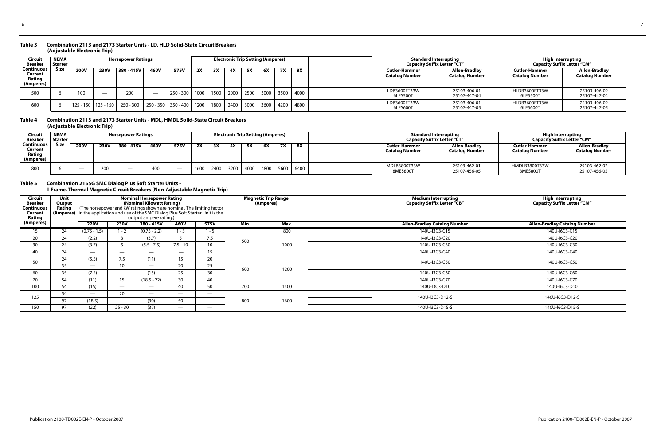#### **Table 3 Combination 2113 and 2173 Starter Units - LD, HLD Solid-State Circuit Breakers (Adjustable Electronic Trip)**

| <b>Circuit</b><br><b>Breaker</b>             | <b>NEMA</b><br><b>Starter</b> |                         |             | <b>Horsepower Ratings</b> |             |             |      |      |      | <b>Electronic Trip Setting (Amperes)</b> |      |           |      |                                               | <b>Standard Interrupting</b><br><b>Capacity Suffix Letter "CT"</b> | High Interrupting<br><b>Capacity Suffix Letter "CM"</b> |                                        |
|----------------------------------------------|-------------------------------|-------------------------|-------------|---------------------------|-------------|-------------|------|------|------|------------------------------------------|------|-----------|------|-----------------------------------------------|--------------------------------------------------------------------|---------------------------------------------------------|----------------------------------------|
| Continuous<br>Current<br>Rating<br>(Amperes) | <b>Size</b>                   | <b>200V</b>             | <b>230V</b> | 380 - 415V                | 460V        | 575V        | 2X   | 3X   | 4Х   |                                          | 6Х   | <b>7X</b> | 8X   | <b>Cutler-Hammer</b><br><b>Catalog Number</b> | Allen-Bradley<br><b>Catalog Number</b>                             | Cutler-Hammer<br><b>Catalog Number</b>                  | Allen-Bradlev<br><b>Catalog Number</b> |
| 500                                          |                               | 100                     |             | 200                       |             | $250 - 300$ | 1000 | 1500 | 2000 | 2500                                     | 3000 | 3500      | 4000 | LDB3600FT33W<br>6LES500T                      | 25103-406-01<br>25107-447-04                                       | HLDB3600FT33W<br>6LES500                                | 25103-406-02<br>25107-447-04           |
| 600                                          |                               | $125 - 150$   125 - 150 |             | $250 - 300$               | $250 - 350$ | $350 - 400$ | 1200 | 1800 | 2400 | 3000                                     | 3600 | 4200      | 4800 | LDB3600FT33W<br>6LES600T                      | 25103-406-01<br>25107-447-05                                       | HLDB3600FT33W<br>6LES600                                | 24103-406-02<br>25107-447-05           |

**Table 4 Combination 2113 and 2173 Starter Units - MDL, HMDL Solid-State Circuit Breakers (Adjustable Electronic Trip)** 

#### **Table 5 Combination 2155G SMC Dialog Plus Soft Starter Units - I-Frame, Thermal Magnetic Circuit Breakers (Non-Adjustable Magnetic Trip)**

| Circui.<br><b>Breaker</b>                    | <b>NEMA</b><br><b>Starter</b> |             |             | <b>Horsepower Ratings</b> |      |      |      |      |      | <b>Electronic Trip Setting (Amperes)</b> |      |           |      |                                               | <b>Standard Interrupting</b><br><b>Capacity Suffix Letter "CT"</b> | <b>High Interrupting</b><br><b>Capacity Suffix Letter "CM"</b> |                                        |
|----------------------------------------------|-------------------------------|-------------|-------------|---------------------------|------|------|------|------|------|------------------------------------------|------|-----------|------|-----------------------------------------------|--------------------------------------------------------------------|----------------------------------------------------------------|----------------------------------------|
| Continuous<br>Current<br>Rating<br>(Amperes) | <b>Size</b>                   | <b>200V</b> | <b>230V</b> | 380 - 415V                | 460V | 575V | 2X   | ЗΧ   | 4Х   | 5X                                       | 6X   | <b>7X</b> | 8X   | <b>Cutler-Hammer</b><br><b>Catalog Number</b> | Allen-Bradley<br><b>Catalog Number</b>                             | <b>Cutler-Hammer</b><br><b>Catalog Number</b>                  | Allen-Bradley<br><b>Catalog Number</b> |
| 800                                          |                               |             |             | $\overline{\phantom{a}}$  |      |      | 1600 | 2400 | 3200 | 4000                                     | 4800 | 5600      | 6400 | MDLB3800T33W<br>8MES800T                      | 25103-462-01<br>25107-456-05                                       | HMDLB3800T33W<br>8MES800T                                      | 25103-462-02<br>25107-456-05           |

| <b>Circuit</b><br><b>Breaker</b><br><b>Continuous</b><br><b>Current</b><br>Rating | Unit<br>Output<br>Rating<br>(Amperes) |                          |                          | <b>Nominal Horsepower Rating</b><br>(Nominal Kilowatt Rating)<br>output ampere rating.) |                          | (The horsepower and kW ratings shown are nominal. The limiting factor<br>in the application and use of the SMC Dialog Plus Soft Starter Unit is the |      | <b>Magnetic Trip Range</b><br>(Amperes) | <b>Medium Interrupting</b><br><b>Capacity Suffix Letter "CB"</b> | <b>High Interrupting</b><br><b>Capacity Suffix Letter "CM"</b> |
|-----------------------------------------------------------------------------------|---------------------------------------|--------------------------|--------------------------|-----------------------------------------------------------------------------------------|--------------------------|-----------------------------------------------------------------------------------------------------------------------------------------------------|------|-----------------------------------------|------------------------------------------------------------------|----------------------------------------------------------------|
| (Amperes)                                                                         |                                       | <b>220V</b>              | <b>230V</b>              | 380 - 415V                                                                              | 460V                     | 575V                                                                                                                                                | Min. | Max.                                    | <b>Allen-Bradley Catalog Number</b>                              | <b>Allen-Bradley Catalog Number</b>                            |
| 15                                                                                | 24                                    | $(0.75 - 1.5)$           | $1 - 2$                  | $(0.75 - 2.2)$                                                                          | $1 - 3$                  | 1 - 5                                                                                                                                               |      | 800                                     | 140U-I3C3-C15                                                    | 140U-I6C3-C15                                                  |
| 20                                                                                | 24                                    | (2.2)                    | ്                        | (3.7)                                                                                   |                          | 7.5                                                                                                                                                 | 500  |                                         | 140U-I3C3-C20                                                    | 140U-I6C3-C20                                                  |
| 30                                                                                | 24                                    | (3.7)                    |                          | $(5.5 - 7.5)$                                                                           | $7.5 - 10$               | 10 <sup>°</sup>                                                                                                                                     |      | 1000                                    | 140U-I3C3-C30                                                    | 140U-I6C3-C30                                                  |
| 40                                                                                | 24                                    |                          | $\overline{\phantom{m}}$ | $\hspace{0.05cm}$                                                                       | $\overline{\phantom{0}}$ | 15                                                                                                                                                  |      |                                         | 140U-I3C3-C40                                                    | 140U-I6C3-C40                                                  |
| 50                                                                                | 24                                    | (5.5)                    | 7.5                      | (11)                                                                                    | 15                       | 20                                                                                                                                                  |      |                                         | 140U-I3C3-C50                                                    | 140U-I6C3-C50                                                  |
|                                                                                   | 35                                    | $\overline{\phantom{0}}$ | 10 <sup>°</sup>          | $\overline{\phantom{m}}$                                                                | 20                       | 25                                                                                                                                                  | 600  | 1200                                    |                                                                  |                                                                |
| 60                                                                                | 35                                    | (7.5)                    | $\overline{\phantom{a}}$ | (15)                                                                                    | 25                       | 30                                                                                                                                                  |      |                                         | 140U-I3C3-C60                                                    | 140U-I6C3-C60                                                  |
| 70                                                                                | 54                                    | (11)                     | 15                       | $(18.5 - 22)$                                                                           | 30                       | 40                                                                                                                                                  |      |                                         | 140U-I3C3-C70                                                    | 140U-I6C3-C70                                                  |
| 100                                                                               | 54                                    | (15)                     | $\overline{\phantom{a}}$ | $\overline{\phantom{m}}$                                                                | 40                       | 50                                                                                                                                                  | 700  | 1400                                    | 140U-I3C3-D10                                                    | 140U-I6C3-D10                                                  |
| 125                                                                               | 54                                    | $\overline{\phantom{0}}$ | 20                       | $\overline{\phantom{a}}$                                                                |                          |                                                                                                                                                     |      |                                         | 140U-I3C3-D12-S                                                  | 140U-I6C3-D12-S                                                |
|                                                                                   | 97                                    | (18.5)                   | $\overline{\phantom{a}}$ | (30)                                                                                    | 50                       |                                                                                                                                                     | 800  | 1600                                    |                                                                  |                                                                |
| 150                                                                               | 97                                    | (22)                     | $25 - 30$                | (37)                                                                                    | $\overline{\phantom{a}}$ |                                                                                                                                                     |      |                                         | 140U-I3C3-D15-S                                                  | 140U-I6C3-D15-S                                                |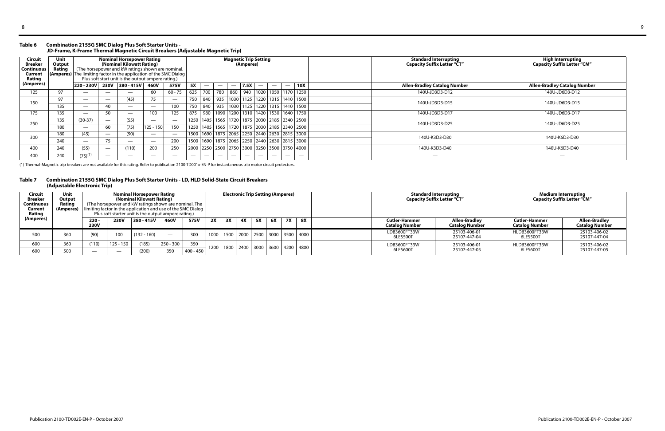#### **Table 6 Combination 2155G SMC Dialog Plus Soft Starter Units - JD-Frame, K-Frame Thermal Magnetic Circuit Breakers (Adjustable Magnetic Trip)**

#### **Table 7 Combination 2155G SMC Dialog Plus Soft Starter Units - LD, HLD Solid-State Circuit Breakers (Adjustable Electronic Trip)**

| Circuit<br><b>Breaker</b><br><b>Continuous</b><br>Current<br>Rating<br>(Amperes) | Unit<br>Output<br>Rating |                          |                          | <b>Nominal Horsepower Rating</b><br>(Nominal Kilowatt Rating)<br>(The horsepower and kW ratings shown are nominal.<br>(Amperes) The limiting factor in the application of the SMC Dialog<br>Plus soft start unit is the output ampere rating.)<br>220 - 230V 230V 380 - 415V 460V |                          |                          |     |                          |                          | <b>Magnetic Trip Setting</b> | (Amperes) |                          |                          |                          |                                                              | <b>Standard Interrupting</b><br><b>Capacity Suffix Letter "CT"</b> | High Interrupting<br><b>Capacity Suffix Letter "CM"</b> |
|----------------------------------------------------------------------------------|--------------------------|--------------------------|--------------------------|-----------------------------------------------------------------------------------------------------------------------------------------------------------------------------------------------------------------------------------------------------------------------------------|--------------------------|--------------------------|-----|--------------------------|--------------------------|------------------------------|-----------|--------------------------|--------------------------|--------------------------|--------------------------------------------------------------|--------------------------------------------------------------------|---------------------------------------------------------|
|                                                                                  |                          |                          |                          |                                                                                                                                                                                                                                                                                   |                          | 575V                     | 5X  | $\overline{\phantom{a}}$ | $\overline{\phantom{a}}$ | $\hspace{0.05cm}$            | 7.5X      | $\overline{\phantom{a}}$ | $\overline{\phantom{m}}$ | $\overline{\phantom{a}}$ | <b>10X</b>                                                   | <b>Allen-Bradley Catalog Number</b>                                | <b>Allen-Bradley Catalog Number</b>                     |
| 125                                                                              | 97                       |                          |                          | $\overline{\phantom{0}}$                                                                                                                                                                                                                                                          | 60                       | $60 - 75$                | 625 | 700                      |                          |                              |           |                          |                          |                          | 780   860   940   1020   1050   1170   1250                  | 140U-JD3D3-D12                                                     | 140U-JD6D3-D12                                          |
| 150                                                                              | 97                       |                          | $\overline{\phantom{m}}$ | (45)                                                                                                                                                                                                                                                                              |                          | $\overline{\phantom{m}}$ | 750 | 840                      |                          |                              |           |                          |                          |                          | 935   1030   1125   1220   1315   1410   1500                | 140U-JD3D3-D15                                                     | 140U-JD6D3-D15                                          |
|                                                                                  | 135                      |                          | 40                       |                                                                                                                                                                                                                                                                                   |                          | 100                      | 750 |                          |                          |                              |           |                          |                          |                          | 840   935   1030   1125   1220   1315   1410   1500          |                                                                    |                                                         |
| 175                                                                              | 135                      | $\overline{\phantom{a}}$ |                          | $\overline{\phantom{0}}$                                                                                                                                                                                                                                                          | 100                      | 125                      | 875 |                          |                          |                              |           |                          |                          |                          | 980   1090   1200   1310   1420   1530   1640   1750         | 140U-JD3D3-D17                                                     | 140U-JD6D3-D17                                          |
| 250                                                                              | 135                      | $(30-37)$                |                          | (55)                                                                                                                                                                                                                                                                              | $\overline{\phantom{a}}$ | $\overline{\phantom{a}}$ |     |                          |                          |                              |           |                          |                          |                          | 1250   1405   1565   1720   1875   2030   2185   2340   2500 | 140U-JD3D3-D25                                                     | 140U-JD6D3-D25                                          |
|                                                                                  | 180                      |                          | 60                       | (75)                                                                                                                                                                                                                                                                              | $125 - 150$              | 150                      |     |                          |                          |                              |           |                          |                          |                          | 1250   1405   1565   1720   1875   2030   2185   2340   2500 |                                                                    |                                                         |
| 300                                                                              | 180                      | (45)                     |                          | (90)                                                                                                                                                                                                                                                                              | $\overline{\phantom{a}}$ | $\overline{\phantom{a}}$ |     |                          |                          |                              |           |                          |                          |                          | 1500   1690   1875   2065   2250   2440   2630   2815   3000 | 140U-K3D3-D30                                                      | 140U-K6D3-D30                                           |
|                                                                                  | 240                      | $\overline{\phantom{a}}$ | 75                       |                                                                                                                                                                                                                                                                                   | $\overline{\phantom{a}}$ | 200                      |     |                          |                          |                              |           |                          |                          |                          | 1500   1690   1875   2065   2250   2440   2630   2815   3000 |                                                                    |                                                         |
| 400                                                                              | 240                      | (55)                     |                          | (110)                                                                                                                                                                                                                                                                             | 200                      | 250                      |     |                          |                          |                              |           |                          |                          |                          | 2000   2250   2500   2750   3000   3250   3500   3750   4000 | 140U-K3D3-D40                                                      | 140U-K6D3-D40                                           |
| 400                                                                              | 240                      | $(75)^{(1)}$             |                          |                                                                                                                                                                                                                                                                                   |                          |                          |     |                          | $\overline{\phantom{a}}$ |                              |           |                          | _                        |                          |                                                              |                                                                    | —                                                       |

(1) Thermal-Magnetic trip breakers are not available for this rating. Refer to publication 2100-TD001x-EN-P for instantaneous trip motor circuit protectors.

| <b>Circuit</b><br><b>Breaker</b><br><b>Continuous</b><br>Current<br>Rating | Unit<br>Output<br>Rating<br>(Amperes) |                          |             | <b>Nominal Horsepower Rating</b><br>(Nominal Kilowatt Rating)<br>(The horsepower and kW ratings shown are nominal. The<br>  limiting factor in the application and use of the SMC Dialog<br>Plus soft starter unit is the output ampere rating.) |                          |           |    |    |    |    | <b>Electronic Trip Setting (Amperes)</b> |           |                                                |                                               | <b>Standard Interrupting</b><br><b>Capacity Suffix Letter "CT"</b> | Medium Interrupting<br><b>Capacity Suffix Letter "CM"</b> |                                        |
|----------------------------------------------------------------------------|---------------------------------------|--------------------------|-------------|--------------------------------------------------------------------------------------------------------------------------------------------------------------------------------------------------------------------------------------------------|--------------------------|-----------|----|----|----|----|------------------------------------------|-----------|------------------------------------------------|-----------------------------------------------|--------------------------------------------------------------------|-----------------------------------------------------------|----------------------------------------|
| (Amperes)                                                                  |                                       | $220 -$<br><b>230V</b>   | <b>230V</b> | 380 - 415V                                                                                                                                                                                                                                       | 460V                     | 575V      | 2X | 3X | 4Х | 5X | 6X                                       | <b>7X</b> | 8X                                             | <b>Cutler-Hammer</b><br><b>Catalog Number</b> | Allen-Bradley<br><b>Catalog Number</b>                             | Cutler-Hammer<br>Catalog Number                           | Allen-Bradley<br><b>Catalog Number</b> |
| 500                                                                        | 360                                   | (90)                     | 100         | $(132 - 160)$                                                                                                                                                                                                                                    | $\overline{\phantom{m}}$ | 300       |    |    |    |    |                                          |           | 1000   1500   2000   2500   3000   3500   4000 | LDB3600FT33W<br>6LES500T                      | 25103-406-01<br>25107-447-04                                       | HLDB3600FT33W<br>6LES500T                                 | 25103-406-02<br>25107-447-04           |
| 600                                                                        | 360                                   | (110)                    | 125 - 150   | (185)                                                                                                                                                                                                                                            | 250 - 300                | 350       |    |    |    |    |                                          |           | 1200   1800   2400   3000   3600   4200   4800 | LDB3600FT33W                                  | 25103-406-01                                                       | HLDB3600FT33W                                             | 25103-406-02                           |
| 600                                                                        | 500                                   | $\overline{\phantom{a}}$ |             | (200)                                                                                                                                                                                                                                            | 350                      | 400 - 450 |    |    |    |    |                                          |           |                                                | 6LES600T                                      | 25107-447-05                                                       | 6LES600T                                                  | 25107-447-05                           |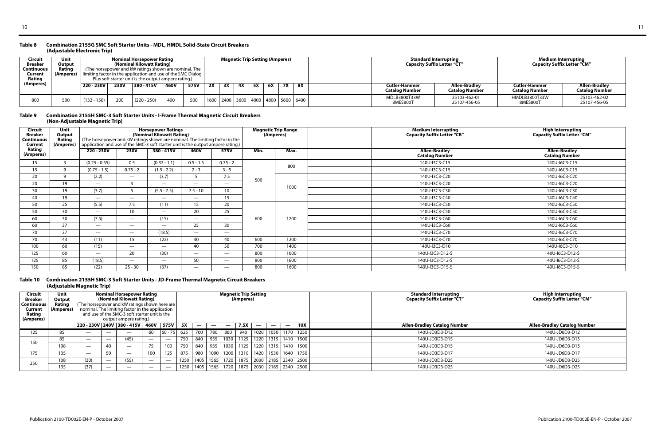#### **Table 8 Combination 2155G SMC Soft Starter Units - MDL, HMDL Solid-State Circuit Breakers (Adjustable Electronic Trip)**

#### **Table 9 Combination 2155H SMC-3 Soft Starter Units - I-Frame Thermal Magnetic Circuit Breakers (Non-Adjustable Magnetic Trip)**

#### **Table 10 Combination 2155H SMC-3 Soft Starter Units - JD-Frame Thermal Magnetic Circuit Breakers (Adjustable Magnetic Trip)**

| Circuit<br><b>Breaker</b><br><b>Continuous</b><br>Current<br>Rating | Unit<br>Output<br>Rating |               |                 | Nominal Horsepower Rating<br>(Nominal Kilowatt Rating)<br>(The horsepower and kW ratings shown are nominal. The<br><b>(Amperes)</b> $\vert$ limiting factor in the application and use of the SMC Dialog $\vert$<br>Plus soft starter unit is the output ampere rating.) |      |     |                                                |    |    | <b>Magnetic Trip Setting (Amperes)</b> |           |    |                                        |                                 | <b>Standard Interrupting</b><br><b>Capacity Suffix Letter "CT"</b> | Medium Interrupting<br><b>Capacity Suffix Letter "CM"</b> |                              |
|---------------------------------------------------------------------|--------------------------|---------------|-----------------|--------------------------------------------------------------------------------------------------------------------------------------------------------------------------------------------------------------------------------------------------------------------------|------|-----|------------------------------------------------|----|----|----------------------------------------|-----------|----|----------------------------------------|---------------------------------|--------------------------------------------------------------------|-----------------------------------------------------------|------------------------------|
| (Amperes)                                                           |                          | 220 - 230V    | <b>230V</b>     | 380 - 415V                                                                                                                                                                                                                                                               | 575V | 2X  | 3X                                             | 4Х | 5X | 6X                                     | <b>7X</b> | 8X | <b>Cutler-Hammer</b><br>Catalog Number | Allen-Bradley<br>Catalog Number | <b>Cutler-Hammer</b><br>Catalog Number                             | <b>Allen-Bradley</b><br><b>Catalog Number</b>             |                              |
| 800                                                                 |                          | $(132 - 150)$ | 20 <sub>C</sub> | $(220 - 250)$                                                                                                                                                                                                                                                            | 400  | 500 | 1600   2400   3600   4000   4800   5600   6400 |    |    |                                        |           |    |                                        | MDLB3800T33W<br>8MES800T        | 25103-462-01<br>25107-456-05                                       | HMDLB3800T33W<br>8MES800T                                 | 25103-462-02<br>25107-456-05 |

| <b>Circuit</b><br><b>Breaker</b><br>Continuous<br><b>Current</b> | Unit<br>Output<br>Rating<br>(Amperes) | (The horsepower and kW ratings shown are nominal. The limiting factor in the<br>application and use of the SMC-3 soft starter unit is the output ampere rating.) |                          | <b>Horsepower Ratings</b><br>(Nominal Kilowatt Rating) |                          |                               |      | <b>Magnetic Trip Range</b><br>(Amperes) | <b>Medium Interrupting</b><br><b>Capacity Suffix Letter "CB"</b> | High Interrupting<br>Capacity Suffix Letter "CM" |
|------------------------------------------------------------------|---------------------------------------|------------------------------------------------------------------------------------------------------------------------------------------------------------------|--------------------------|--------------------------------------------------------|--------------------------|-------------------------------|------|-----------------------------------------|------------------------------------------------------------------|--------------------------------------------------|
| Rating<br>(Amperes)                                              |                                       | 220 - 230V                                                                                                                                                       | <b>230V</b>              | 380 - 415V                                             | 460V                     | 575V                          | Min. | Max.                                    | <b>Allen-Bradley</b><br><b>Catalog Number</b>                    | <b>Allen-Bradley</b><br><b>Catalog Number</b>    |
| 15                                                               |                                       | $(0.25 - 0.55)$                                                                                                                                                  | 0.5                      | $(0.37 - 1.1)$                                         | $0.5 - 1.5$              | $0.75 - 2$                    |      | 800                                     | 140U-I3C3-C15                                                    | 140U-I6C3-C15                                    |
| 15                                                               | <b>q</b>                              | $(0.75 - 1.5)$                                                                                                                                                   | $0.75 - 2$               | $(1.5 - 2.2)$                                          | $2 - 3$                  | $3 - 5$                       |      |                                         | 140U-I3C3-C15                                                    | 140U-I6C3-C15                                    |
| 20                                                               | Q                                     | (2.2)                                                                                                                                                            | $\overline{\phantom{a}}$ | (3.7)                                                  | $\mathcal{L}$            | 7.5                           | 500  |                                         | 140U-I3C3-C20                                                    | 140U-I6C3-C20                                    |
| 20                                                               | 19                                    | $\overline{\phantom{a}}$                                                                                                                                         |                          | $\overline{\phantom{m}}$                               | $\overline{\phantom{a}}$ | $\overline{\phantom{0}}$      |      | 1000                                    | 140U-I3C3-C20                                                    | 140U-I6C3-C20                                    |
| 30                                                               | 19                                    | (3.7)                                                                                                                                                            |                          | $(5.5 - 7.5)$                                          | $7.5 - 10$               | 10 <sup>°</sup>               |      |                                         | 140U-I3C3-C30                                                    | 140U-I6C3-C30                                    |
| 40                                                               | 19                                    | $\overline{\phantom{a}}$                                                                                                                                         | $\overline{\phantom{a}}$ | $\overline{\phantom{0}}$                               | $\overline{\phantom{m}}$ | 15                            |      |                                         | 140U-I3C3-C40                                                    | 140U-I6C3-C40                                    |
| 50                                                               | 25                                    | (5.5)                                                                                                                                                            | 7.5                      | (11)                                                   | 15 <sup>1</sup>          | 20                            |      |                                         | 140U-I3C3-C50                                                    | 140U-I6C3-C50                                    |
| 50                                                               | 30                                    | $\overline{\phantom{a}}$                                                                                                                                         | 10 <sup>°</sup>          | $\overline{\phantom{0}}$                               | 20                       | 25                            |      |                                         | 140U-I3C3-C50                                                    | 140U-I6C3-C50                                    |
| 60                                                               | 30                                    | (7.5)                                                                                                                                                            | $\overline{\phantom{a}}$ | (15)                                                   | $\overline{\phantom{a}}$ | $\overline{\phantom{a}}$      | 600  | 1200                                    | 140U-I3C3-C60                                                    | 140U-I6C3-C60                                    |
| 60                                                               | 37                                    | $\overline{\phantom{a}}$                                                                                                                                         | $\overline{\phantom{a}}$ | $\overline{\phantom{0}}$                               | 25                       | 30                            |      |                                         | 140U-I3C3-C60                                                    | 140U-I6C3-C60                                    |
| 70                                                               | 37                                    | $\overline{\phantom{m}}$                                                                                                                                         | $\overline{\phantom{a}}$ | (18.5)                                                 | $\overline{\phantom{a}}$ |                               |      |                                         | 140U-I3C3-C70                                                    | 140U-I6C3-C70                                    |
| 70                                                               | 43                                    | (11)                                                                                                                                                             | 15                       | (22)                                                   | 30 <sup>°</sup>          | 40                            | 600  | 1200                                    | 140U-I3C3-C70                                                    | 140U-I6C3-C70                                    |
| 100                                                              | 60                                    | (15)                                                                                                                                                             | $\overline{\phantom{m}}$ | $\overline{\phantom{0}}$                               | 40                       | 50                            | 700  | 1400                                    | 140U-I3C3-D10                                                    | 140U-I6C3-D10                                    |
| 125                                                              | 60                                    | $\overline{\phantom{a}}$                                                                                                                                         | 20                       | (30)                                                   | $\overline{\phantom{0}}$ | $\overbrace{\phantom{aaaaa}}$ | 800  | 1600                                    | 140U-I3C3-D12-S                                                  | 140U-I6C3-D12-S                                  |
| 125                                                              | 85                                    | (18.5)                                                                                                                                                           | $\overline{\phantom{a}}$ | $\overline{\phantom{0}}$                               | 50                       |                               | 800  | 1600                                    | 140U-I3C3-D12-S                                                  | 140U-I6C3-D12-S                                  |
| 150                                                              | 85                                    | (22)                                                                                                                                                             | $25 - 30$                | (37)                                                   | $\overline{\phantom{0}}$ |                               | 800  | 1600                                    | 140U-I3C3-D15-S                                                  | 140U-I6C3-D15-S                                  |

| Circuit<br><b>Breaker</b><br><b>Continuous</b><br>Current<br>Rating<br>(Amperes) | Unit<br>Output<br>Rating<br>(Amperes) |                                 |    | <b>Nominal Horsepower Rating</b><br>(Nominal Kilowatt Rating)<br>(The horsepower and kW ratings shown here are  <br>nominal. The limiting factor in the application<br>and use of the SMC-3 soft starter unit is the<br>output ampere rating.) |                          |                          |      |     |     |                          | <b>Magnetic Trip Setting</b><br>(Amperes) |      |                          |                                                       | <b>Standard Interrupting</b><br><b>Capacity Suffix Letter "CT"</b> | <b>High Interrupting</b><br><b>Capacity Suffix Letter "CM"</b> |
|----------------------------------------------------------------------------------|---------------------------------------|---------------------------------|----|------------------------------------------------------------------------------------------------------------------------------------------------------------------------------------------------------------------------------------------------|--------------------------|--------------------------|------|-----|-----|--------------------------|-------------------------------------------|------|--------------------------|-------------------------------------------------------|--------------------------------------------------------------------|----------------------------------------------------------------|
|                                                                                  |                                       |                                 |    | $ 220 - 230V $ 240V 380 - 415V 460V 575V                                                                                                                                                                                                       |                          |                          | 5X   |     |     | $\overline{\phantom{a}}$ | 7.5X                                      |      | $\overline{\phantom{0}}$ | 10X                                                   | <b>Allen-Bradley Catalog Number</b>                                | <b>Allen-Bradley Catalog Number</b>                            |
| 125                                                                              | 85                                    |                                 |    |                                                                                                                                                                                                                                                | 60                       | $60 - 75$                | 625  | 700 | 780 | 860                      | 940                                       | 1020 |                          | 1050   1170   1250                                    | 140U-JD3D3-D12                                                     | 140U-JD6D3-D12                                                 |
| 150                                                                              | 85                                    | $\overbrace{\phantom{1232211}}$ |    | (45)                                                                                                                                                                                                                                           | $\overline{\phantom{a}}$ | $\overline{\phantom{a}}$ | 750  | 840 | 935 |                          |                                           |      |                          | │ 1030   1125   1220   1315   1410   1500             | 140U-JD3D3-D15                                                     | 140U-JD6D3-D15                                                 |
|                                                                                  | 108                                   |                                 |    |                                                                                                                                                                                                                                                | 75                       | 100                      | 750  | 840 | 935 | 1030                     |                                           |      |                          | 1125   1220   1315   1410   1500                      | 140U-JD3D3-D15                                                     | 140U-JD6D3-D15                                                 |
| 175                                                                              | 135                                   | $\overbrace{\phantom{1232211}}$ | 50 | $\overbrace{\phantom{1232211}}$                                                                                                                                                                                                                | 100                      | 125                      | 875  | 980 |     | 1090 1200                |                                           |      |                          | 1310   1420   1530   1640   1750                      | 140U-JD3D3-D17                                                     | 140U-JD6D3-D17                                                 |
| 250                                                                              | 108                                   | (30)                            |    | (55)                                                                                                                                                                                                                                           | $\overline{\phantom{a}}$ | $\overline{\phantom{m}}$ | 1250 |     |     |                          |                                           |      |                          | 1405   1565   1720   1875   2030   2185   2340   2500 | 140U-JD3D3-D25                                                     | 140U-JD6D3-D25                                                 |
|                                                                                  | 135                                   | (37)                            |    | _                                                                                                                                                                                                                                              |                          | $\overline{\phantom{m}}$ | 1250 |     |     |                          |                                           |      |                          | 1405   1565   1720   1875   2030   2185   2340   2500 | 140U-JD3D3-D25                                                     | 140U-JD6D3-D25                                                 |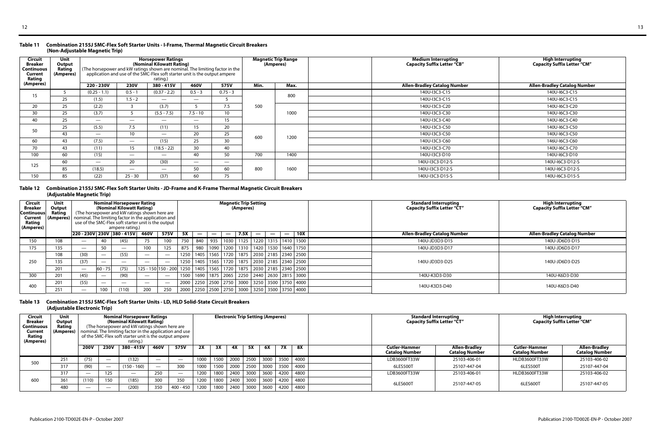#### **Table 11 Combination 2155J SMC-Flex Soft Starter Units - I-Frame, Thermal Magnetic Circuit Breakers (Non-Adjustable Magnetic Trip)**

#### **Table 12 Combination 2155J SMC-Flex Soft Starter Units - JD-Frame and K-Frame Thermal Magnetic Circuit Breakers (Adjustable Magnetic Trip)**

#### **Table 13 Combination 2155J SMC-Flex Soft Starter Units - LD, HLD Solid-State Circuit Breakers (Adjustable Electronic Trip)**

| <b>Circuit</b><br><b>Breaker</b><br><b>Continuous</b><br>Current<br><b>Rating</b> | <b>Unit</b><br>Output<br>Rating<br>(Amperes) | (The horsepower and kW ratings shown are nominal. The limiting factor in the |                          | <b>Horsepower Ratings</b><br>(Nominal Kilowatt Rating)<br>application and use of the SMC-Flex soft starter unit is the output ampere<br>rating.) |                          |                 |      | <b>Magnetic Trip Range</b><br>(Amperes) | <b>Medium Interrupting</b><br><b>Capacity Suffix Letter "CB"</b> | <b>High Interrupting</b><br><b>Capacity Suffix Letter "CM"</b> |
|-----------------------------------------------------------------------------------|----------------------------------------------|------------------------------------------------------------------------------|--------------------------|--------------------------------------------------------------------------------------------------------------------------------------------------|--------------------------|-----------------|------|-----------------------------------------|------------------------------------------------------------------|----------------------------------------------------------------|
| (Amperes)                                                                         |                                              | 220 - 230V                                                                   | <b>230V</b>              | 380 - 415V                                                                                                                                       | 460V                     | 575V            | Min. | Max.                                    | <b>Allen-Bradley Catalog Number</b>                              | <b>Allen-Bradley Catalog Number</b>                            |
| 15                                                                                |                                              | $(0.25 - 1.1)$                                                               | $0.5 - 1$                | $(0.37 - 2.2)$                                                                                                                                   | $0.5 - 3$                | $0.75 - 3$      |      | 800                                     | 140U-I3C3-C15                                                    | 140U-I6C3-C15                                                  |
|                                                                                   | 25                                           | (1.5)                                                                        | $1.5 - 2$                | $\overline{\phantom{a}}$                                                                                                                         | $\overline{\phantom{0}}$ |                 |      |                                         | 140U-I3C3-C15                                                    | 140U-I6C3-C15                                                  |
| 20                                                                                | 25                                           | (2.2)                                                                        |                          | (3.7)                                                                                                                                            |                          | 7.5             | 500  |                                         | 140U-I3C3-C20                                                    | 140U-I6C3-C20                                                  |
| 30                                                                                | 25                                           | (3.7)                                                                        |                          | $(5.5 - 7.5)$                                                                                                                                    | $7.5 - 10$               | 10 <sup>°</sup> |      | 1000                                    | 140U-I3C3-C30                                                    | 140U-I6C3-C30                                                  |
| 40                                                                                | 25                                           | $\overline{\phantom{0}}$                                                     | $\overline{\phantom{0}}$ |                                                                                                                                                  | $\overline{\phantom{0}}$ | 15              |      |                                         | 140U-I3C3-C40                                                    | 140U-I6C3-C40                                                  |
| 50                                                                                | 25                                           | (5.5)                                                                        | 7.5                      | (11)                                                                                                                                             | 15                       | 20              |      |                                         | 140U-I3C3-C50                                                    | 140U-I6C3-C50                                                  |
|                                                                                   | 43                                           | $\overline{\phantom{0}}$                                                     | 10                       | $\overline{\phantom{a}}$                                                                                                                         | 20                       | 25              | 600  | 1200                                    | 140U-I3C3-C50                                                    | 140U-I6C3-C50                                                  |
| 60                                                                                | 43                                           | (7.5)                                                                        | $\overline{\phantom{a}}$ | (15)                                                                                                                                             | 25                       | 30              |      |                                         | 140U-I3C3-C60                                                    | 146U-I6C3-C60                                                  |
| 70                                                                                | 43                                           | (11)                                                                         | 15 <sub>1</sub>          | $(18.5 - 22)$                                                                                                                                    | 30 <sub>o</sub>          | 40              |      |                                         | 140U-I3C3-C70                                                    | 140U-I6C3-C70                                                  |
| 100                                                                               | 60                                           | (15)                                                                         | $\overline{\phantom{0}}$ | $\overline{\phantom{m}}$                                                                                                                         | 40                       | 50              | 700  | 1400                                    | 140U-I3C3-D10                                                    | 140U-I6C3-D10                                                  |
| 125                                                                               | 60                                           | $\overline{\phantom{0}}$                                                     | 20                       | (30)                                                                                                                                             | $\overline{\phantom{a}}$ |                 |      |                                         | 140U-I3C3-D12-S                                                  | 140U-I6C3-D12-S                                                |
|                                                                                   | 85                                           | (18.5)                                                                       |                          | $\overline{\phantom{m}}$                                                                                                                         | 50                       | 60              | 800  | 1600                                    | 140U-I3C3-D12-S                                                  | 140U-I6C3-D12-S                                                |
| 150                                                                               | 85                                           | (22)                                                                         | $25 - 30$                | (37)                                                                                                                                             | 60                       | 75              |      |                                         | 140U-I3C3-D15-S                                                  | 140U-I6C3-D15-S                                                |

| Circuit<br><b>Breaker</b><br><b>Continuous</b><br>Current<br>Rating<br>(Amperes) | Unit<br>Output<br>Rating | (Amperes) nominal. The limiting factor in the application and |                          | <b>Nominal Horsepower Rating</b><br>(Nominal Kilowatt Rating)<br>(The horsepower and kW ratings shown here are<br>use of the SMC-Flex soft starter unit is the output<br>ampere rating.) |                                 |                                 |           |                   |                   |                          | <b>Magnetic Trip Setting</b><br>(Amperes) |                               |                          |                                                                                  | <b>Standard Interrupting</b><br><b>Capacity Suffix Letter "CT"</b> | <b>High Interrupting</b><br><b>Capacity Suffix Letter "CM"</b> |
|----------------------------------------------------------------------------------|--------------------------|---------------------------------------------------------------|--------------------------|------------------------------------------------------------------------------------------------------------------------------------------------------------------------------------------|---------------------------------|---------------------------------|-----------|-------------------|-------------------|--------------------------|-------------------------------------------|-------------------------------|--------------------------|----------------------------------------------------------------------------------|--------------------------------------------------------------------|----------------------------------------------------------------|
|                                                                                  |                          | 220 - 230V 230V 380 - 415V                                    |                          |                                                                                                                                                                                          | 460V                            | 575V                            | <b>5X</b> | $\hspace{0.05cm}$ | $\hspace{0.05cm}$ | $\overline{\phantom{m}}$ | 7.5X                                      | $\overbrace{\phantom{13333}}$ | $\overline{\phantom{a}}$ | 10X<br>$\overline{\phantom{m}}$                                                  | <b>Allen-Bradley Catalog Number</b>                                | <b>Allen-Bradley Catalog Number</b>                            |
| 150                                                                              | 108                      |                                                               | 40                       | (45)                                                                                                                                                                                     | 75                              | 100                             | 750       | 840               | 935               | 1030                     |                                           |                               |                          | 1125   1220   1315   1410   1500                                                 | 140U-JD3D3-D15                                                     | 140U-JD6D3-D15                                                 |
| 175                                                                              | 135                      |                                                               | 50                       |                                                                                                                                                                                          | 100                             | 125                             | 875       | 980               |                   |                          |                                           |                               |                          | 1090   1200   1310   1420   1530   1640   1750                                   | 140U-JD3D3-D17                                                     | 140U-JD6D3-D17                                                 |
|                                                                                  | 108                      | (30)                                                          |                          | (55)                                                                                                                                                                                     | $\overline{\phantom{m}}$        | $\overline{\phantom{a}}$        | 1250      |                   |                   |                          |                                           |                               |                          | 1405   1565   1720   1875   2030   2185   2340   2500                            |                                                                    |                                                                |
| 250                                                                              | 135                      | (37)                                                          |                          |                                                                                                                                                                                          |                                 | $\hspace{0.1mm}-\hspace{0.1mm}$ | 1250      |                   |                   |                          |                                           |                               |                          | 1405   1565   1720   1875   2030   2185   2340   2500                            | 140U-JD3D3-D25                                                     | 140U-JD6D3-D25                                                 |
|                                                                                  | 201                      | $\overline{\phantom{m}}$                                      | $ 60 - 75 $              | (75)                                                                                                                                                                                     |                                 |                                 |           |                   |                   |                          |                                           |                               |                          | 125 - 150 150 - 200 1250   1405   1565   1720   1875   2030   2185   2340   2500 |                                                                    |                                                                |
| 300                                                                              | 201                      | (45)                                                          | $\overline{\phantom{a}}$ | (90)                                                                                                                                                                                     | $\overline{\phantom{m}}$        | $\overline{\phantom{a}}$        | 1500      |                   |                   |                          |                                           |                               |                          | 1690   1875   2065   2250   2440   2630   2815   3000                            | 140U-K3D3-D30                                                      | 140U-K6D3-D30                                                  |
| 400                                                                              | 201                      | (55)                                                          |                          |                                                                                                                                                                                          | $\hspace{0.1mm}-\hspace{0.1mm}$ | $\overline{\phantom{a}}$        |           |                   |                   |                          |                                           |                               |                          | 2000   2250   2500   2750   3000   3250   3500   3750   4000                     | 140U-K3D3-D40                                                      | 140U-K6D3-D40                                                  |
|                                                                                  | 251                      | $\overline{\phantom{m}}$                                      | 100                      | (110)                                                                                                                                                                                    | 200                             | 250                             |           |                   |                   |                          |                                           |                               |                          | 2000   2250   2500   2750   3000   3250   3500   3750   4000                     |                                                                    |                                                                |

| <b>Circuit</b><br><b>Breaker</b><br><b>Continuous</b><br>Current<br>Rating<br>(Amperes) | <b>Unit</b><br>Output<br>Rating<br>(Amperes) |                          |             | <b>Nominal Horsepower Ratings</b><br>(Nominal Kilowatt Rating)<br>(The horsepower and kW ratings shown here are<br>nominal. The limiting factor in the application and use<br>of the SMC-Flex soft starter unit is the output ampere<br>rating.) |                          |                          |              |              | <b>Electronic Trip Setting (Amperes)</b> |              |                                  |              |              |                                               | <b>Standard Interrupting</b><br><b>Capacity Suffix Letter "CT"</b> |                                 | <b>High Interrupting</b><br><b>Capacity Suffix Letter "CM"</b> |
|-----------------------------------------------------------------------------------------|----------------------------------------------|--------------------------|-------------|--------------------------------------------------------------------------------------------------------------------------------------------------------------------------------------------------------------------------------------------------|--------------------------|--------------------------|--------------|--------------|------------------------------------------|--------------|----------------------------------|--------------|--------------|-----------------------------------------------|--------------------------------------------------------------------|---------------------------------|----------------------------------------------------------------|
|                                                                                         |                                              | <b>200V</b>              | <b>230V</b> | 380 - 415V                                                                                                                                                                                                                                       | 460V                     | 575V                     | <b>2X</b>    | 3X           | 4Х                                       | 5X           | 6X                               | <b>7X</b>    | 8X           | <b>Cutler-Hammer</b><br><b>Catalog Number</b> | Allen-Bradley<br><b>Catalog Number</b>                             | Cutler-Hammer<br>Catalog Number | <b>Allen-Bradley</b><br><b>Catalog Number</b>                  |
| 500                                                                                     | 251                                          | (75)                     |             | (132)                                                                                                                                                                                                                                            |                          |                          | 1000         | 1500         |                                          |              | 2000   2500   3000   3500   4000 |              |              | LDB3600FT33W                                  | 25103-406-01                                                       | HLDB3600FT33W                   | 25103-406-02                                                   |
|                                                                                         | 317                                          | (90)                     |             | $(150 - 160)$                                                                                                                                                                                                                                    | $\overline{\phantom{m}}$ | 300                      | 1000         | 1500         | 2000                                     | 2500         | 3000                             | 3500         | 4000         | 6LES500T                                      | 25107-447-04                                                       | 6LES500T                        | 25107-447-04                                                   |
|                                                                                         | 317                                          | $\overline{\phantom{m}}$ | 125         | $\overline{\phantom{m}}$                                                                                                                                                                                                                         | 250                      | $\overline{\phantom{m}}$ | 1200         | 1800         | 2400                                     | 3000         | 3600                             | 4200         | 4800         | LDB3600FT33W                                  | 25103-406-01                                                       | HLDB3600FT33W                   | 25103-406-02                                                   |
| 600                                                                                     | 361<br>480                                   | (110)                    | 150         | (185)<br>(200)                                                                                                                                                                                                                                   | 300<br>350               | 350<br>$400 - 450$       | 1200<br>1200 | 1800<br>1800 | 2400<br>2400                             | 3000<br>3000 | 3600<br>3600                     | 4200<br>4200 | 4800<br>4800 | 6LES600T                                      | 25107-447-05                                                       | 6LES600T                        | 25107-447-05                                                   |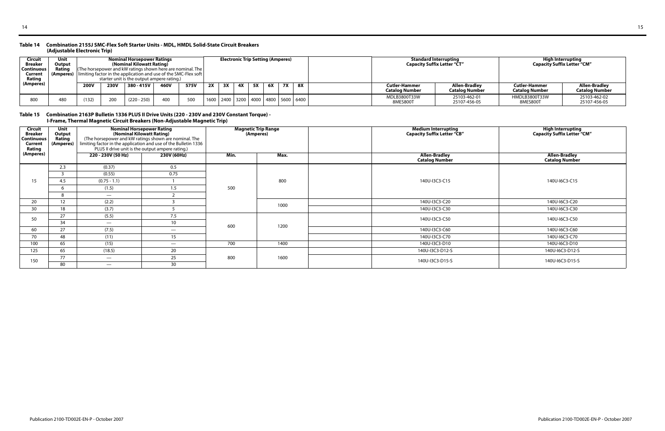#### **Table 14 Combination 2155J SMC-Flex Soft Starter Units - MDL, HMDL Solid-State Circuit Breakers (Adjustable Electronic Trip)**

#### **Table 15 Combination 2163P Bulletin 1336 PLUS II Drive Units (220 - 230V and 230V Constant Torque) - I-Frame, Thermal Magnetic Circuit Breakers (Non-Adjustable Magnetic Trip)**

| <b>Circuit</b><br>Breaker<br>Continuous | Unit<br>Output<br>Ratinc |                                                                                                        |                             | <b>Nominal Horsepower Ratings</b><br>(Nominal Kilowatt Rating)<br>$\vert$ The horsepower and kW ratings shown here are nominal. The $\vert$ |  |  |    |    | <b>Electronic Trip Setting (Amperes)</b> |    |           |                                                |                          | <b>Standard Interrupting</b><br><b>Capacity Suffix Letter "CT"</b> | <b>High Interrupting</b><br><b>Capacity Suffix Letter "CM"</b> |                              |
|-----------------------------------------|--------------------------|--------------------------------------------------------------------------------------------------------|-----------------------------|---------------------------------------------------------------------------------------------------------------------------------------------|--|--|----|----|------------------------------------------|----|-----------|------------------------------------------------|--------------------------|--------------------------------------------------------------------|----------------------------------------------------------------|------------------------------|
| Current<br>Rating                       | (Amperes)                |                                                                                                        |                             | limiting factor in the application and use of the SMC-Flex soft                                                                             |  |  |    |    |                                          |    |           |                                                |                          |                                                                    |                                                                |                              |
| (Amperes)                               |                          | starter unit is the output ampere rating.)<br><b>230V</b><br>380 - 415V<br>460V<br>575V<br><b>200V</b> |                             |                                                                                                                                             |  |  | 2X | 3X | 5X                                       | 6X | <b>7X</b> | 8X                                             | <b>Cutler-Hammer</b>     | Allen-Bradley                                                      | <b>Cutler-Hammer</b>                                           | Allen-Bradlev                |
|                                         |                          |                                                                                                        |                             |                                                                                                                                             |  |  |    |    |                                          |    |           |                                                | Catalog Number           | Catalog Number                                                     | <b>Catalog Number</b>                                          | <b>Catalog Number</b>        |
| 800                                     | 48C                      | (132)                                                                                                  | 500<br>400<br>$(220 - 250)$ |                                                                                                                                             |  |  |    |    |                                          |    |           | 1600   2400   3200   4000   4800   5600   6400 | MDLB3800T33W<br>8MES800T | 25103-462-01<br>25107-456-05                                       | HMDLB3800T33W<br>8MES800T                                      | 25103-462-02<br>25107-456-05 |

| <b>Circuit</b><br><b>Breaker</b><br><b>Continuous</b><br>Current<br>Rating | <b>Unit</b><br>Output<br>Rating<br>(Amperes) | <b>Nominal Horsepower Rating</b><br>(Nominal Kilowatt Rating)<br>(The horsepower and kW ratings shown are nominal. The<br>limiting factor in the application and use of the Bulletin 1336<br>PLUS II drive unit is the output ampere rating.) |                          | <b>Magnetic Trip Range</b><br>(Amperes) |      | <b>Medium Interrupting</b><br><b>Capacity Suffix Letter "CB"</b> | High Interrupting<br>Capacity Suffix Letter "CM" |
|----------------------------------------------------------------------------|----------------------------------------------|-----------------------------------------------------------------------------------------------------------------------------------------------------------------------------------------------------------------------------------------------|--------------------------|-----------------------------------------|------|------------------------------------------------------------------|--------------------------------------------------|
| (Amperes)                                                                  |                                              | 220 - 230V (50 Hz)                                                                                                                                                                                                                            | 230V (60Hz)              | Min.                                    | Max. | <b>Allen-Bradley</b><br><b>Catalog Number</b>                    | <b>Allen-Bradley</b><br><b>Catalog Number</b>    |
|                                                                            | 2.3                                          | (0.37)                                                                                                                                                                                                                                        | 0.5                      |                                         |      |                                                                  |                                                  |
|                                                                            |                                              | (0.55)                                                                                                                                                                                                                                        | 0.75                     |                                         |      |                                                                  |                                                  |
| 15                                                                         | 4.5                                          | $(0.75 - 1.1)$                                                                                                                                                                                                                                |                          |                                         | 800  | 140U-I3C3-C15                                                    | 140U-I6C3-C15                                    |
|                                                                            |                                              | (1.5)                                                                                                                                                                                                                                         | 1.5                      | 500                                     |      |                                                                  |                                                  |
|                                                                            |                                              | $\overline{\phantom{a}}$                                                                                                                                                                                                                      |                          |                                         |      |                                                                  |                                                  |
| 20                                                                         | 12                                           | (2.2)                                                                                                                                                                                                                                         |                          |                                         | 1000 | 140U-I3C3-C20                                                    | 140U-I6C3-C20                                    |
| 30                                                                         | 18                                           | (3.7)                                                                                                                                                                                                                                         |                          |                                         |      | 140U-I3C3-C30                                                    | 140U-I6C3-C30                                    |
| 50                                                                         | 27                                           | (5.5)                                                                                                                                                                                                                                         | 7.5                      |                                         |      | 140U-I3C3-C50                                                    | 140U-I6C3-C50                                    |
|                                                                            | 34                                           | $\overline{\phantom{a}}$                                                                                                                                                                                                                      | 10 <sup>°</sup>          | 600                                     | 1200 |                                                                  |                                                  |
| 60                                                                         | 27                                           | (7.5)                                                                                                                                                                                                                                         | $\overline{\phantom{a}}$ |                                         |      | 140U-I3C3-C60                                                    | 140U-I6C3-C60                                    |
| 70                                                                         | 48                                           | (11)                                                                                                                                                                                                                                          | 15                       |                                         |      | 140U-I3C3-C70                                                    | 140U-I6C3-C70                                    |
| 100                                                                        | 65                                           | (15)                                                                                                                                                                                                                                          | $\overline{\phantom{a}}$ | 700                                     | 1400 | 140U-I3C3-D10                                                    | 140U-I6C3-D10                                    |
| 125                                                                        | 65                                           | (18.5)                                                                                                                                                                                                                                        | 20                       |                                         |      | 140U-I3C3-D12-S                                                  | 140U-I6C3-D12-S                                  |
|                                                                            | 77                                           | $\overline{\phantom{a}}$                                                                                                                                                                                                                      | 25                       | 800                                     | 1600 | 140U-I3C3-D15-S                                                  | 140U-I6C3-D15-S                                  |
| 150                                                                        | 80                                           | $\overline{\phantom{m}}$                                                                                                                                                                                                                      | 30                       |                                         |      |                                                                  |                                                  |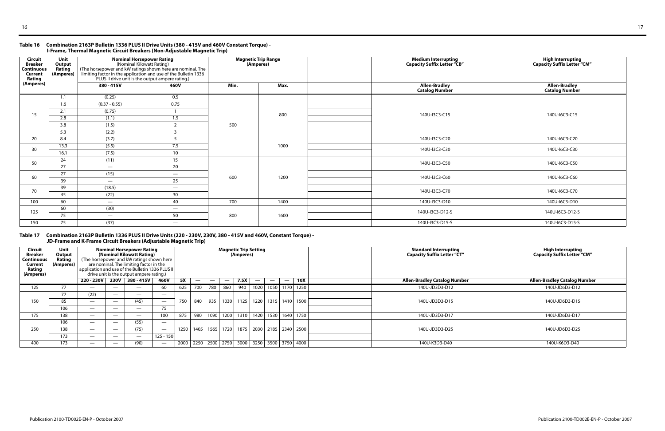#### **Table 16 Combination 2163P Bulletin 1336 PLUS II Drive Units (380 - 415V and 460V Constant Torque) - I-Frame, Thermal Magnetic Circuit Breakers (Non-Adjustable Magnetic Trip)**

#### **Table 17 Combination 2163P Bulletin 1336 PLUS II Drive Units (220 - 230V, 230V, 380 - 415V and 460V, Constant Torque) - JD-Frame and K-Frame Circuit Breakers (Adjustable Magnetic Trip)**

| <b>Circuit</b><br><b>Breaker</b><br><b>Continuous</b><br><b>Current</b><br>Rating | Unit<br>Output<br>Rating<br>(Amperes) | <b>Nominal Horsepower Rating</b><br>(Nominal Kilowatt Rating)<br>(The horsepower and kW ratings shown here are nominal. The<br>limiting factor in the application and use of the Bulletin 1336<br>PLUS II drive unit is the output ampere rating.) |                          |      | <b>Magnetic Trip Range</b><br>(Amperes) | Medium Interrupting<br>Capacity Suffix Letter "CB" | High Interrupting<br>Capacity Suffix Letter "CM" |
|-----------------------------------------------------------------------------------|---------------------------------------|----------------------------------------------------------------------------------------------------------------------------------------------------------------------------------------------------------------------------------------------------|--------------------------|------|-----------------------------------------|----------------------------------------------------|--------------------------------------------------|
| (Amperes)                                                                         |                                       | 380 - 415V                                                                                                                                                                                                                                         | 460V                     | Min. | Max.                                    | <b>Allen-Bradley</b><br><b>Catalog Number</b>      | <b>Allen-Bradley</b><br><b>Catalog Number</b>    |
|                                                                                   | 1.1                                   | (0.25)                                                                                                                                                                                                                                             | 0.5                      |      |                                         |                                                    |                                                  |
|                                                                                   | 1.6                                   | $(0.37 - 0.55)$                                                                                                                                                                                                                                    | 0.75                     |      |                                         |                                                    |                                                  |
| 15                                                                                | 2.1                                   | (0.75)                                                                                                                                                                                                                                             |                          |      | 800                                     | 140U-I3C3-C15                                      | 140U-I6C3-C15                                    |
|                                                                                   | 2.8                                   | (1.1)                                                                                                                                                                                                                                              | 1.5                      |      |                                         |                                                    |                                                  |
|                                                                                   | 3.8                                   | (1.5)                                                                                                                                                                                                                                              | ຳ                        | 500  |                                         |                                                    |                                                  |
|                                                                                   | 5.3                                   | (2.2)                                                                                                                                                                                                                                              |                          |      |                                         |                                                    |                                                  |
| 20                                                                                | 8.4                                   | (3.7)                                                                                                                                                                                                                                              |                          |      |                                         | 140U-I3C3-C20                                      | 140U-I6C3-C20                                    |
| 30                                                                                | 13.3                                  | (5.5)                                                                                                                                                                                                                                              | 7.5                      |      | 1000                                    | 140U-I3C3-C30                                      | 140U-I6C3-C30                                    |
|                                                                                   | 16.1                                  | (7.5)                                                                                                                                                                                                                                              | 10 <sup>°</sup>          |      |                                         |                                                    |                                                  |
| 50                                                                                | 24                                    | (11)                                                                                                                                                                                                                                               | 15                       |      |                                         | 140U-I3C3-C50                                      | 140U-I6C3-C50                                    |
|                                                                                   | 27                                    | $\overline{\phantom{a}}$                                                                                                                                                                                                                           | 20                       |      |                                         |                                                    |                                                  |
| 60                                                                                | 27                                    | (15)                                                                                                                                                                                                                                               | $\overline{\phantom{a}}$ | 600  | 1200                                    | 140U-I3C3-C60                                      | 140U-I6C3-C60                                    |
|                                                                                   | 39                                    | $\overline{\phantom{a}}$                                                                                                                                                                                                                           | 25                       |      |                                         |                                                    |                                                  |
| 70                                                                                | 39                                    | (18.5)                                                                                                                                                                                                                                             |                          |      |                                         | 140U-I3C3-C70                                      | 140U-I6C3-C70                                    |
|                                                                                   | 45                                    | (22)                                                                                                                                                                                                                                               | 30 <sup>°</sup>          |      |                                         |                                                    |                                                  |
| 100                                                                               | 60                                    |                                                                                                                                                                                                                                                    | 40                       | 700  | 1400                                    | 140U-I3C3-D10                                      | 140U-I6C3-D10                                    |
| 125                                                                               | 60                                    | (30)                                                                                                                                                                                                                                               | $\overline{\phantom{0}}$ |      |                                         | 140U-I3C3-D12-S                                    | 140U-I6C3-D12-S                                  |
|                                                                                   | 75                                    |                                                                                                                                                                                                                                                    | 50                       | 800  | 1600                                    |                                                    |                                                  |
| 150                                                                               | 75                                    | (37)                                                                                                                                                                                                                                               | $\overline{\phantom{0}}$ |      |                                         | 140U-I3C3-D15-S                                    | 140U-I6C3-D15-S                                  |

| Circuit<br>Breaker<br><b>Continuous</b><br>Current<br>Rating<br>(Amperes) | Unit<br>Output<br>Rating<br>(Amperes) | application and use of the Bulletin 1336 PLUS II |                          | <b>Nominal Horsepower Rating</b><br>(Nominal Kilowatt Rating)<br>(The horsepower and kW ratings shown here<br>are nominal. The limiting factor in the<br>drive unit is the output ampere rating.) |                          |           |                          |                                                              |                          | (Amperes) | <b>Magnetic Trip Setting</b>     |                          |                          |            | <b>Standard Interrupting</b><br><b>Capacity Suffix Letter "CT"</b> | High Interrupting<br><b>Capacity Suffix Letter "CM"</b> |
|---------------------------------------------------------------------------|---------------------------------------|--------------------------------------------------|--------------------------|---------------------------------------------------------------------------------------------------------------------------------------------------------------------------------------------------|--------------------------|-----------|--------------------------|--------------------------------------------------------------|--------------------------|-----------|----------------------------------|--------------------------|--------------------------|------------|--------------------------------------------------------------------|---------------------------------------------------------|
|                                                                           |                                       | 220 - 230V                                       |                          | 230V 380 - 415V                                                                                                                                                                                   | 460V                     | <b>5X</b> | $\overline{\phantom{a}}$ | $\overline{\phantom{a}}$                                     | $\overline{\phantom{a}}$ | 7.5X      | $\overline{\phantom{a}}$         | $\overline{\phantom{a}}$ | $\overline{\phantom{0}}$ | <b>10X</b> | <b>Allen-Bradley Catalog Number</b>                                | <b>Allen-Bradley Catalog Number</b>                     |
| 125                                                                       |                                       | $\overline{\phantom{0}}$                         |                          |                                                                                                                                                                                                   | 60                       | 625       | 700                      | 780                                                          | 860                      | 940       | 1020                             |                          | 1050 1170 1250           |            | 140U-JD3D3-D12                                                     | 140U-JD6D3-D12                                          |
|                                                                           | 77                                    | (22)                                             |                          | $\hspace{0.1mm}-\hspace{0.1mm}$                                                                                                                                                                   | $\overline{\phantom{a}}$ |           |                          |                                                              |                          |           |                                  |                          |                          |            |                                                                    |                                                         |
| 150                                                                       | 85                                    |                                                  |                          | (45)                                                                                                                                                                                              | $\overline{\phantom{a}}$ | 750       | 840                      | 935                                                          | 1030                     |           | 1125   1220   1315   1410   1500 |                          |                          |            | 140U-JD3D3-D15                                                     | 140U-JD6D3-D15                                          |
|                                                                           | 106                                   | $\overline{\phantom{0}}$                         | $\overline{\phantom{a}}$ |                                                                                                                                                                                                   | 75                       |           |                          |                                                              |                          |           |                                  |                          |                          |            |                                                                    |                                                         |
| 175                                                                       | 138                                   | $\overline{\phantom{m}}$                         | $\overline{\phantom{a}}$ |                                                                                                                                                                                                   | 100                      | 875       | 980                      | 1090                                                         | 1200                     |           | 1310   1420   1530   1640   1750 |                          |                          |            | 140U-JD3D3-D17                                                     | 140U-JD6D3-D17                                          |
|                                                                           | 106                                   |                                                  |                          | (55)                                                                                                                                                                                              |                          |           |                          |                                                              |                          |           |                                  |                          |                          |            |                                                                    |                                                         |
| 250                                                                       | 138                                   |                                                  |                          | (75)                                                                                                                                                                                              | $\overline{\phantom{m}}$ | 1250      |                          | 1405   1565   1720   1875   2030   2185   2340   2500        |                          |           |                                  |                          |                          |            | 140U-JD3D3-D25                                                     | 140U-JD6D3-D25                                          |
|                                                                           | 173                                   | $\overline{\phantom{0}}$                         |                          |                                                                                                                                                                                                   | $125 - 150$              |           |                          |                                                              |                          |           |                                  |                          |                          |            |                                                                    |                                                         |
| 400                                                                       | 173                                   | $\overline{\phantom{0}}$                         | $\overline{\phantom{a}}$ | (90)                                                                                                                                                                                              | $\overline{\phantom{m}}$ |           |                          | 2000   2250   2500   2750   3000   3250   3500   3750   4000 |                          |           |                                  |                          |                          |            | 140U-K3D3-D40                                                      | 140U-K6D3-D40                                           |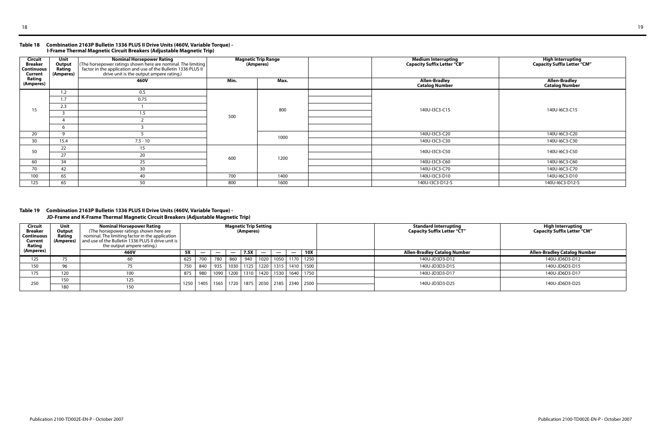#### **Table 18 Combination 2163P Bulletin 1336 PLUS II Drive Units (460V, Variable Torque) - I-Frame Thermal Magnetic Circuit Breakers (Adjustable Magnetic Trip)**

### **Table 19 Combination 2163P Bulletin 1336 PLUS II Drive Units (460V, Variable Torque) -**

**JD-Frame and K-Frame Thermal Magnetic Circuit Breakers (Adjustable Magnetic Trip)** 

| <b>Circuit</b><br><b>Breaker</b><br><b>Continuous</b><br>Current | Unit<br>Output<br>Rating<br>(Amperes) | <b>Nominal Horsepower Rating</b><br>(The horsepower ratings shown here are nominal. The limiting<br>factor in the application and use of the Bulletin 1336 PLUS II<br>drive unit is the output ampere rating.) |      | <b>Magnetic Trip Range</b><br>(Amperes) | <b>Medium Interrupting</b><br><b>Capacity Suffix Letter "CB"</b> | High Interrupting<br>Capacity Suffix Letter "CM" |
|------------------------------------------------------------------|---------------------------------------|----------------------------------------------------------------------------------------------------------------------------------------------------------------------------------------------------------------|------|-----------------------------------------|------------------------------------------------------------------|--------------------------------------------------|
| Rating<br>(Amperes)                                              |                                       | <b>460V</b>                                                                                                                                                                                                    | Min. | Max.                                    | <b>Allen-Bradley</b><br><b>Catalog Number</b>                    | <b>Allen-Bradley</b><br><b>Catalog Number</b>    |
|                                                                  | 1.2                                   | 0.5                                                                                                                                                                                                            |      |                                         |                                                                  |                                                  |
|                                                                  | 1.7                                   | 0.75                                                                                                                                                                                                           |      |                                         |                                                                  |                                                  |
| 15                                                               | 2.3                                   |                                                                                                                                                                                                                |      | 800                                     | 140U-I3C3-C15                                                    | 140U-I6C3-C15                                    |
|                                                                  |                                       | 1.5                                                                                                                                                                                                            | 500  |                                         |                                                                  |                                                  |
|                                                                  |                                       |                                                                                                                                                                                                                |      |                                         |                                                                  |                                                  |
|                                                                  | 6                                     |                                                                                                                                                                                                                |      |                                         |                                                                  |                                                  |
| 20                                                               | <b>q</b>                              |                                                                                                                                                                                                                |      | 1000                                    | 140U-I3C3-C20                                                    | 140U-I6C3-C20                                    |
| 30                                                               | 15.4                                  | $7.5 - 10$                                                                                                                                                                                                     |      |                                         | 140U-I3C3-C30                                                    | 140U-I6C3-C30                                    |
| 50                                                               | 22                                    | 15                                                                                                                                                                                                             |      |                                         | 140U-I3C3-C50                                                    | 140U-I6C3-C50                                    |
|                                                                  | 27                                    | 20                                                                                                                                                                                                             |      | 1200                                    |                                                                  |                                                  |
| 60                                                               | 34                                    | 25                                                                                                                                                                                                             | 600  |                                         | 140U-I3C3-C60                                                    | 140U-I6C3-C60                                    |
| 70                                                               | 42                                    | 30                                                                                                                                                                                                             |      |                                         | 140U-I3C3-C70                                                    | 140U-I6C3-C70                                    |
| 100                                                              | 65                                    | 40                                                                                                                                                                                                             | 700  | 1400                                    | 140U-I3C3-D10                                                    | 140U-I6C3-D10                                    |
| 125                                                              | 65                                    | 50                                                                                                                                                                                                             | 800  | 1600                                    | 140U-I3C3-D12-S                                                  | 140U-I6C3-D12-S                                  |

| Circuit<br><b>Breaker</b><br>Continuous  <br>Current<br>Rating<br>(Amperes) | Unit<br>Output<br>Rating<br>(Amperes) | Nominal Horsepower Rating<br>The horsepower ratings shown here are<br>nominal. The limiting factor in the application<br>$\frac{1}{2}$ and use of the Bulletin 1336 PLUS II drive unit is $\frac{1}{2}$<br>the output ampere rating.)<br>460V | 5X   | $\overline{\phantom{a}}$ |                    | $\overline{\phantom{m}}$ | <b>Magnetic Trip Setting</b><br>(Amperes)<br>7.5X | $\qquad \qquad \blacksquare$ | $\overline{\phantom{a}}$ | $\overline{\phantom{a}}$ | 10X                              | <b>Standard Interrupting</b><br><b>Capacity Suffix Letter "CT"</b><br><b>Allen-Bradley Catalog Number</b> | High Interrupting<br><b>Capacity Suffix Letter "CM"</b><br><b>Allen-Bradley Catalog Number</b> |
|-----------------------------------------------------------------------------|---------------------------------------|-----------------------------------------------------------------------------------------------------------------------------------------------------------------------------------------------------------------------------------------------|------|--------------------------|--------------------|--------------------------|---------------------------------------------------|------------------------------|--------------------------|--------------------------|----------------------------------|-----------------------------------------------------------------------------------------------------------|------------------------------------------------------------------------------------------------|
| 125                                                                         |                                       |                                                                                                                                                                                                                                               | 625  | 700                      | 780                | 860                      | 940                                               |                              |                          |                          | 1020   1050   1170   1250        | 140U-JD3D3-D12                                                                                            | 140U-JD6D3-D12                                                                                 |
| 150                                                                         | 96                                    |                                                                                                                                                                                                                                               | 750  | 840                      | 935                | 1030                     |                                                   |                              |                          |                          | 1125   1220   1315   1410   1500 | 140U-JD3D3-D15                                                                                            | 140U-JD6D3-D15                                                                                 |
| 175                                                                         | 120                                   | 100                                                                                                                                                                                                                                           | 875  | 980                      | 1090               |                          | 1200 1310                                         |                              |                          |                          | 1420   1530   1640   1750        | 140U-JD3D3-D17                                                                                            | 140U-JD6D3-D17                                                                                 |
|                                                                             | 150                                   | 125                                                                                                                                                                                                                                           | 1250 |                          | 1405   1565   1720 |                          |                                                   |                              |                          |                          | 1875   2030   2185   2340   2500 | 140U-JD3D3-D25                                                                                            | 140U-JD6D3-D25                                                                                 |
| 250                                                                         | 180                                   | 150                                                                                                                                                                                                                                           |      |                          |                    |                          |                                                   |                              |                          |                          |                                  |                                                                                                           |                                                                                                |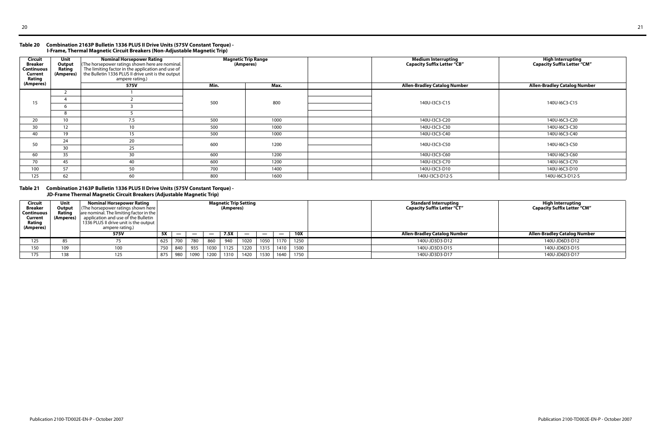#### **Table 20 Combination 2163P Bulletin 1336 PLUS II Drive Units (575V Constant Torque) - I-Frame, Thermal Magnetic Circuit Breakers (Non-Adjustable Magnetic Trip)**

#### **Table 21 Combination 2163P Bulletin 1336 PLUS II Drive Units (575V Constant Torque) - JD-Frame Thermal Magnetic Circuit Breakers (Adjustable Magnetic Trip)**

| <b>Circuit</b><br><b>Breaker</b><br><b>Continuous</b><br>Current<br>Rating | Unit<br>Output<br>Rating<br>(Amperes) | <b>Nominal Horsepower Rating</b><br>(The horsepower ratings shown here are nominal.<br>The limiting factor in the application and use of<br>the Bulletin 1336 PLUS II drive unit is the output<br>ampere rating.) |      | <b>Magnetic Trip Range</b><br>(Amperes) | <b>Medium Interrupting</b><br><b>Capacity Suffix Letter "CB"</b> | <b>High Interrupting</b><br><b>Capacity Suffix Letter "CM"</b> |
|----------------------------------------------------------------------------|---------------------------------------|-------------------------------------------------------------------------------------------------------------------------------------------------------------------------------------------------------------------|------|-----------------------------------------|------------------------------------------------------------------|----------------------------------------------------------------|
| (Amperes)                                                                  |                                       | 575V                                                                                                                                                                                                              | Min. | Max.                                    | <b>Allen-Bradley Catalog Number</b>                              | <b>Allen-Bradley Catalog Number</b>                            |
|                                                                            |                                       |                                                                                                                                                                                                                   |      |                                         |                                                                  |                                                                |
| 15                                                                         |                                       |                                                                                                                                                                                                                   | 500  | 800                                     | 140U-I3C3-C15                                                    | 140U-I6C3-C15                                                  |
|                                                                            |                                       |                                                                                                                                                                                                                   |      |                                         |                                                                  |                                                                |
|                                                                            | 8                                     |                                                                                                                                                                                                                   |      |                                         |                                                                  |                                                                |
| 20                                                                         | 10 <sup>1</sup>                       | 7.5                                                                                                                                                                                                               | 500  | 1000                                    | 140U-I3C3-C20                                                    | 140U-I6C3-C20                                                  |
| 30                                                                         | 12 <sup>2</sup>                       | 10                                                                                                                                                                                                                | 500  | 1000                                    | 140U-I3C3-C30                                                    | 140U-I6C3-C30                                                  |
| 40                                                                         | 19                                    | 15                                                                                                                                                                                                                | 500  | 1000                                    | 140U-I3C3-C40                                                    | 140U-I6C3-C40                                                  |
|                                                                            | 24                                    | 20                                                                                                                                                                                                                |      |                                         |                                                                  |                                                                |
| 50                                                                         | 30                                    | 25                                                                                                                                                                                                                | 600  | 1200                                    | 140U-I3C3-C50                                                    | 140U-I6C3-C50                                                  |
| 60                                                                         | 35                                    | 30                                                                                                                                                                                                                | 600  | 1200                                    | 140U-I3C3-C60                                                    | 140U-I6C3-C60                                                  |
| 70                                                                         | 45                                    | 40                                                                                                                                                                                                                | 600  | 1200                                    | 140U-I3C3-C70                                                    | 140U-I6C3-C70                                                  |
| 100                                                                        | 57                                    | 50                                                                                                                                                                                                                | 700  | 1400                                    | 140U-I3C3-D10                                                    | 140U-I6C3-D10                                                  |
| 125                                                                        | 62                                    | 60                                                                                                                                                                                                                | 800  | 1600                                    | 140U-I3C3-D12-S                                                  | 140U-I6C3-D12-S                                                |

| <b>Circuit</b><br><b>Breaker</b><br>Continuous  <br>Current<br>Rating<br>(Amperes) | Unit<br>Output<br>Rating<br>(Amperes) | <b>Nominal Horsepower Rating</b><br>$\vert$ (The horsepower ratings shown here $\vert$<br>$\vert$ are nominal. The limiting factor in the $\vert$<br>application and use of the Bulletin<br>1336 PLUS II drive unit is the output  <br>ampere rating.) |                                                                    | <b>Magnetic Trip Setting</b><br>(Amperes) |     |      |      |                          |                |                |            | <b>Standard Interrupting</b><br><b>Capacity Suffix Letter "CT"</b> | <b>High Interrupting</b><br><b>Capacity Suffix Letter "CM"</b> |
|------------------------------------------------------------------------------------|---------------------------------------|--------------------------------------------------------------------------------------------------------------------------------------------------------------------------------------------------------------------------------------------------------|--------------------------------------------------------------------|-------------------------------------------|-----|------|------|--------------------------|----------------|----------------|------------|--------------------------------------------------------------------|----------------------------------------------------------------|
|                                                                                    |                                       | 575V                                                                                                                                                                                                                                                   | 5X                                                                 |                                           | __  |      | 7.5X | $\overline{\phantom{0}}$ |                |                | <b>10X</b> | <b>Allen-Bradley Catalog Number</b>                                | <b>Allen-Bradley Catalog Number</b>                            |
| 125                                                                                | ၀၁                                    |                                                                                                                                                                                                                                                        | 625                                                                | 700                                       | 780 | 860  | 940  | 1020                     | 1050           | 1170           | 1250       | 140U-JD3D3-D12                                                     | 140U-JD6D3-D12                                                 |
| 150                                                                                | 109                                   | 100                                                                                                                                                                                                                                                    | 750                                                                | 840                                       | 935 | 1030 | 1125 | 1220                     | 1315           | 1410           | 1500       | 140U-JD3D3-D15                                                     | 140U-JD6D3-D15                                                 |
| 175                                                                                | 138                                   | 125                                                                                                                                                                                                                                                    | 1640<br>1530<br>1750<br>1200<br>1420<br>980<br>1090<br>1310<br>875 |                                           |     |      |      |                          | 140U-JD3D3-D17 | 140U-JD6D3-D17 |            |                                                                    |                                                                |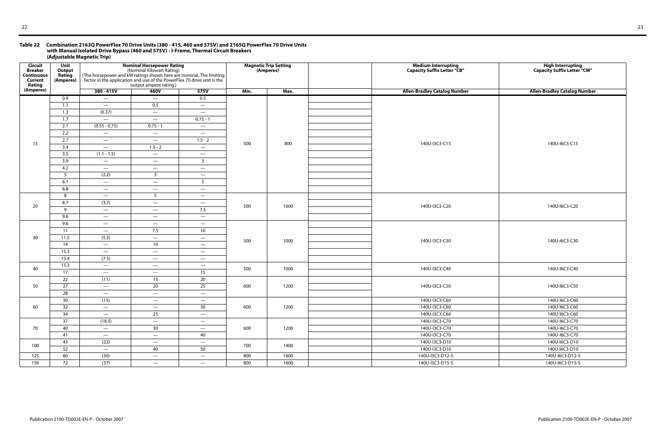#### **Table 22 Combination 2163Q PowerFlex 70 Drive Units (380 - 415, 460 and 575V) and 2165Q PowerFlex 70 Drive Units with Manual Isolated Drive Bypass (460 and 575V) - I-Frame, Thermal Circuit Breakers (Adjustable Magnetic Trip)**

| <b>Circuit</b><br><b>Breaker</b><br><b>Continuous</b><br><b>Current</b><br>Rating | Unit<br>Output<br>Rating<br>(Amperes) |                                 | <b>Nominal Horsepower Rating</b><br>(Nominal Kilowatt Rating)<br>output ampere rating.) | (The horsepower and kW ratings shown here are nominal. The limiting factor in the application and use of the PowerFlex 70 drive unit is the |      | <b>Magnetic Trip Setting</b><br>(Amperes) | Medium Interrupting<br>Capacity Suffix Letter "CB" | High Interrupting<br>Capacity Suffix Letter "CM" |
|-----------------------------------------------------------------------------------|---------------------------------------|---------------------------------|-----------------------------------------------------------------------------------------|---------------------------------------------------------------------------------------------------------------------------------------------|------|-------------------------------------------|----------------------------------------------------|--------------------------------------------------|
| (Amperes)                                                                         |                                       | $380 - 415V$                    | 460V                                                                                    | 575V                                                                                                                                        | Min. | Max.                                      | <b>Allen-Bradley Catalog Number</b>                | <b>Allen-Bradley Catalog Number</b>              |
|                                                                                   | 0.9                                   | $\overline{\phantom{m}}$        | $\overline{\phantom{m}}$                                                                | 0.5                                                                                                                                         |      |                                           |                                                    |                                                  |
|                                                                                   | 1.1                                   | $\hspace{0.1mm}-\hspace{0.1mm}$ | 0.5                                                                                     | $\overline{\phantom{m}}$                                                                                                                    |      |                                           |                                                    |                                                  |
|                                                                                   | 1.3                                   | (0.37)                          | $\hspace{0.1mm}-\hspace{0.1mm}$                                                         | $\qquad \qquad -$                                                                                                                           |      |                                           |                                                    |                                                  |
|                                                                                   | 1.7                                   | $\hspace{0.1mm}-\hspace{0.1mm}$ | $\hspace{0.1mm}-\hspace{0.1mm}$                                                         | $0.75 - 1$                                                                                                                                  |      |                                           |                                                    |                                                  |
|                                                                                   | 2.1                                   | $(0.55 - 0.75)$                 | $0.75 - 1$                                                                              | $\overline{\phantom{m}}$                                                                                                                    |      |                                           |                                                    |                                                  |
|                                                                                   | 2.2                                   | $\hspace{0.1mm}-\hspace{0.1mm}$ | $\hspace{0.1mm}-\hspace{0.1mm}$                                                         | $\overline{\phantom{m}}$                                                                                                                    |      |                                           |                                                    |                                                  |
| 15                                                                                | 2.7                                   | $\overline{\phantom{m}}$        | $\hspace{0.1mm}-\hspace{0.1mm}$                                                         | $1.5 - 2$                                                                                                                                   | 500  | 800                                       | 140U-I3C3-C15                                      | 140U-I6C3-C15                                    |
|                                                                                   | 3.4                                   | $\overline{\phantom{a}}$        | $1.5 - 2$                                                                               | $\overline{\phantom{m}}$                                                                                                                    |      |                                           |                                                    |                                                  |
|                                                                                   | 3.5                                   | $(1.1 - 1.5)$                   | $\hspace{0.1mm}-\hspace{0.1mm}$                                                         | $\overline{\phantom{m}}$                                                                                                                    |      |                                           |                                                    |                                                  |
|                                                                                   | 3.9                                   | $\overline{\phantom{m}}$        | $\hspace{0.1mm}-\hspace{0.1mm}$                                                         | $\overline{\mathbf{3}}$                                                                                                                     |      |                                           |                                                    |                                                  |
|                                                                                   | 4.2                                   | $\overline{\phantom{m}}$        | $\hspace{0.1mm}-\hspace{0.1mm}$                                                         | $\hspace{0.1mm}-\hspace{0.1mm}$                                                                                                             |      |                                           |                                                    |                                                  |
|                                                                                   | 5                                     | (2.2)                           | $\overline{3}$                                                                          | $\overline{\phantom{m}}$                                                                                                                    |      |                                           |                                                    |                                                  |
|                                                                                   | 6.1                                   | $\overline{\phantom{a}}$        | $\hspace{0.1mm}-\hspace{0.1mm}$                                                         | 5                                                                                                                                           |      |                                           |                                                    |                                                  |
|                                                                                   | 6.8                                   | $\hspace{0.1mm}-\hspace{0.1mm}$ | $\hspace{0.1mm}-\hspace{0.1mm}$                                                         | $\overline{\phantom{m}}$                                                                                                                    |      |                                           |                                                    |                                                  |
|                                                                                   | 8                                     | $\hspace{0.1mm}-\hspace{0.1mm}$ | 5                                                                                       | $\overline{\phantom{m}}$                                                                                                                    |      |                                           |                                                    |                                                  |
| 20                                                                                | 8.7                                   | (3.7)                           | $\hspace{0.1mm}-\hspace{0.1mm}$                                                         | $\qquad \qquad -$                                                                                                                           | 500  | 1000                                      | 140U-I3C3-C20                                      | 140U-I6C3-C20                                    |
|                                                                                   | 9                                     | $\overline{\phantom{m}}$        | $\overline{\phantom{a}}$                                                                | 7.5                                                                                                                                         |      |                                           |                                                    |                                                  |
|                                                                                   | 9.6                                   | $\hspace{0.1mm}-\hspace{0.1mm}$ | $\hspace{0.1mm}-\hspace{0.1mm}$                                                         | $\hspace{0.1mm}-\hspace{0.1mm}$                                                                                                             |      |                                           |                                                    |                                                  |
|                                                                                   | 9.6                                   | $\overline{\phantom{m}}$        | $\hspace{0.1mm}-\hspace{0.1mm}$                                                         | $\overline{\phantom{m}}$                                                                                                                    |      |                                           |                                                    |                                                  |
|                                                                                   | 11                                    | $\overline{\phantom{a}}$        | 7.5                                                                                     | 10                                                                                                                                          |      |                                           |                                                    |                                                  |
| 30                                                                                | 11.5                                  | (5.5)                           | $\hspace{0.1mm}-\hspace{0.1mm}$                                                         | $\overline{\phantom{m}}$                                                                                                                    | 500  | 1000                                      | 140U-I3C3-C30                                      | 140U-I6C3-C30                                    |
|                                                                                   | 14                                    | $\overline{\phantom{m}}$        | 10                                                                                      | $\qquad \qquad -$                                                                                                                           |      |                                           |                                                    |                                                  |
|                                                                                   | 15.3                                  | $\overline{\phantom{0}}$        | $\hspace{0.1mm}-\hspace{0.1mm}$                                                         | $\overline{\phantom{m}}$                                                                                                                    |      |                                           |                                                    |                                                  |
|                                                                                   | 15.4                                  | (7.5)                           | $\overline{\phantom{m}}$                                                                | $\overline{\phantom{m}}$                                                                                                                    |      |                                           |                                                    |                                                  |
| 40                                                                                | 15.3                                  | $\hspace{0.1mm}-\hspace{0.1mm}$ | $\overline{\phantom{m}}$                                                                | $\hspace{0.1mm}-\hspace{0.1mm}$                                                                                                             | 500  | 1000                                      | 140U-I3C3-C40                                      | 140U-I6C3-C40                                    |
|                                                                                   | 17                                    | $\overline{\phantom{0}}$        | $\hspace{0.1mm}-\hspace{0.1mm}$                                                         | 15                                                                                                                                          |      |                                           |                                                    |                                                  |
|                                                                                   | 22                                    | (11)                            | 15                                                                                      | 20                                                                                                                                          |      |                                           |                                                    |                                                  |
| 50                                                                                | 27                                    | $\overline{\phantom{m}}$        | 20                                                                                      | 25                                                                                                                                          | 600  | 1200                                      | 140U-I3C3-C50                                      | 140U-I6C3-C50                                    |
|                                                                                   | 28                                    | $\overline{\phantom{m}}$        | $\hspace{0.1mm}-\hspace{0.1mm}$                                                         | $\overline{\phantom{m}}$                                                                                                                    |      |                                           |                                                    |                                                  |
|                                                                                   | 30                                    | (15)                            | $\overline{\phantom{m}}$                                                                | $\overline{\phantom{m}}$                                                                                                                    |      |                                           | 140U-I3C3-C60                                      | 140U-I6C3-C60                                    |
| 60                                                                                | 32                                    | $\overline{\phantom{m}}$        | $\hspace{0.1mm}-\hspace{0.1mm}$                                                         | 30                                                                                                                                          | 600  | 1200                                      | 140U-I3C3-C60                                      | 140U-I6C3-C60                                    |
|                                                                                   | 34                                    | $\overline{\phantom{m}}$        | 25                                                                                      | $\overline{\phantom{m}}$                                                                                                                    |      |                                           | 140U-I3C3-C60                                      | 140U-I6C3-C60                                    |
|                                                                                   | 37                                    | (18.5)                          | $\hspace{0.1mm}-\hspace{0.1mm}$                                                         | $\overline{\phantom{m}}$                                                                                                                    |      |                                           | 140U-I3C3-C70                                      | 140U-I6C3-C70                                    |
| 70                                                                                | 40                                    | $\overline{\phantom{a}}$        | 30                                                                                      | $\overline{\phantom{0}}$                                                                                                                    | 600  | 1200                                      | 140U-I3C3-C70                                      | 140U-I6C3-C70                                    |
|                                                                                   | 41                                    | $\overline{\phantom{m}}$        | $\overline{\phantom{a}}$                                                                | 40                                                                                                                                          |      |                                           | 140U-I3C3-C70                                      | 140U-I6C3-C70                                    |
| 100                                                                               | 43                                    | (22)                            | $\overline{\phantom{0}}$                                                                | $\overline{\phantom{m}}$                                                                                                                    | 700  | 1400                                      | 140U-I3C3-D10                                      | 140U-I6C3-D10                                    |
|                                                                                   | 52                                    | $\overline{\phantom{0}}$        | 40                                                                                      | 50                                                                                                                                          |      |                                           | 140U-I3C3-D10                                      | 140U-I6C3-D10                                    |
| 125                                                                               | 60                                    | (30)                            | $\overline{\phantom{m}}$                                                                | $\hspace{0.1mm}-\hspace{0.1mm}$                                                                                                             | 800  | 1600                                      | 140U-I3C3-D12-S                                    | 140U-I6C3-D12-S                                  |
| 150                                                                               | 72                                    | (37)                            | $\hspace{0.1mm}-\hspace{0.1mm}$                                                         | $\overline{\phantom{m}}$                                                                                                                    | 800  | 1600                                      | 140U-I3C3-D15-S                                    | 140U-I6C3-D15-S                                  |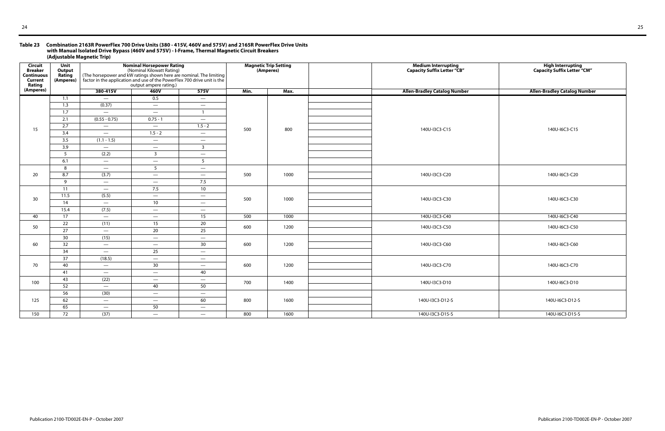#### **Table 23 Combination 2163R PowerFlex 700 Drive Units (380 - 415V, 460V and 575V) and 2165R PowerFlex Drive Units with Manual Isolated Drive Bypass (460V and 575V) - I-Frame, Thermal Magnetic Circuit Breakers (Adjustable Magnetic Trip)**

| <b>Circuit</b><br><b>Breaker</b><br><b>Continuous</b><br><b>Current</b><br>Rating | Unit<br>Output<br>Rating<br>(Amperes) | (The horsepower and kW ratings shown here are nominal. The limiting<br>factor in the application and use of the PowerFlex 700 drive unit is the | <b>Nominal Horsepower Rating</b><br>(Nominal Kilowatt Rating)<br>output ampere rating.) |                                                                    |      | <b>Magnetic Trip Setting</b><br>(Amperes) | Medium Interrupting<br>Capacity Suffix Letter "CB" | High Interrupting<br>Capacity Suffix Letter "CM" |
|-----------------------------------------------------------------------------------|---------------------------------------|-------------------------------------------------------------------------------------------------------------------------------------------------|-----------------------------------------------------------------------------------------|--------------------------------------------------------------------|------|-------------------------------------------|----------------------------------------------------|--------------------------------------------------|
| (Amperes)                                                                         |                                       | 380-415V                                                                                                                                        | 460V                                                                                    | 575V                                                               | Min. | Max.                                      | <b>Allen-Bradley Catalog Number</b>                | <b>Allen-Bradley Catalog Number</b>              |
|                                                                                   | 1.1                                   |                                                                                                                                                 | 0.5                                                                                     | $\hspace{0.1mm}-\hspace{0.1mm}$                                    |      |                                           |                                                    |                                                  |
|                                                                                   | 1.3                                   | (0.37)                                                                                                                                          | $\hspace{0.1mm}-\hspace{0.1mm}$                                                         | $\overline{\phantom{m}}$                                           |      |                                           |                                                    |                                                  |
|                                                                                   | 1.7                                   | $\overline{\phantom{m}}$                                                                                                                        | $\overline{\phantom{a}}$                                                                | $\overline{1}$                                                     |      |                                           |                                                    |                                                  |
|                                                                                   | 2.1                                   | $(0.55 - 0.75)$                                                                                                                                 | $0.75 - 1$                                                                              | $\hspace{0.1mm}-\hspace{0.1mm}$                                    |      |                                           |                                                    |                                                  |
| 15                                                                                | 2.7                                   | $\overline{\phantom{m}}$                                                                                                                        | $\hspace{0.1mm}-\hspace{0.1mm}$                                                         | $1.5 - 2$                                                          | 500  | 800                                       | 140U-I3C3-C15                                      | 140U-I6C3-C15                                    |
|                                                                                   | $\overline{3.4}$                      | $\overline{\phantom{m}}$                                                                                                                        | $1.5 - 2$                                                                               | $\hspace{0.1mm}-\hspace{0.1mm}$                                    |      |                                           |                                                    |                                                  |
|                                                                                   | 3.5                                   | $(1.1 - 1.5)$                                                                                                                                   | $\hspace{0.1mm}-\hspace{0.1mm}$                                                         | $\hspace{0.1mm}-\hspace{0.1mm}$                                    |      |                                           |                                                    |                                                  |
|                                                                                   | 3.9                                   | $\hspace{0.1mm}-\hspace{0.1mm}$                                                                                                                 | $\hspace{0.05cm}$                                                                       | $\overline{\mathbf{3}}$                                            |      |                                           |                                                    |                                                  |
|                                                                                   | 5                                     | (2.2)                                                                                                                                           | $\overline{3}$                                                                          | $\overline{\phantom{m}}$                                           |      |                                           |                                                    |                                                  |
|                                                                                   | 6.1                                   | $\overline{\phantom{m}}$                                                                                                                        | $\hspace{0.1mm}-\hspace{0.1mm}$                                                         | 5                                                                  |      |                                           |                                                    |                                                  |
|                                                                                   | 8                                     | $\overline{\phantom{m}}$                                                                                                                        | 5 <sup>5</sup>                                                                          | $\hspace{0.1mm}-\hspace{0.1mm}$                                    | 500  |                                           |                                                    |                                                  |
| 20                                                                                | 8.7                                   | (3.7)                                                                                                                                           | $\overline{\phantom{m}}$                                                                | $\hspace{0.1mm}-\hspace{0.1mm}$                                    |      | 1000                                      | 140U-I3C3-C20                                      | 140U-I6C3-C20                                    |
|                                                                                   | $\overline{9}$                        | $\overline{\phantom{m}}$                                                                                                                        | $\hspace{0.1mm}-\hspace{0.1mm}$                                                         | 7.5                                                                |      |                                           |                                                    |                                                  |
|                                                                                   | 11<br>11.5                            | $\overline{\phantom{m}}$<br>(5.5)                                                                                                               | 7.5                                                                                     | 10                                                                 |      |                                           |                                                    |                                                  |
| 30                                                                                | 14                                    | $\overline{\phantom{m}}$                                                                                                                        | $\hspace{0.1mm}-\hspace{0.1mm}$<br>10                                                   | $\overline{\phantom{m}}$                                           | 500  | 1000                                      | 140U-I3C3-C30                                      | 140U-I6C3-C30                                    |
|                                                                                   | 15.4                                  | (7.5)                                                                                                                                           | $\overline{\phantom{a}}$                                                                | $\hspace{0.1mm}-\hspace{0.1mm}$<br>$\hspace{0.1mm}-\hspace{0.1mm}$ |      |                                           |                                                    |                                                  |
| 40                                                                                | 17                                    | $\overline{\phantom{a}}$                                                                                                                        | $\hspace{0.1mm}-\hspace{0.1mm}$                                                         | 15                                                                 | 500  | 1000                                      | 140U-I3C3-C40                                      | 140U-I6C3-C40                                    |
|                                                                                   | 22                                    | (11)                                                                                                                                            | 15                                                                                      | 20                                                                 |      |                                           |                                                    |                                                  |
| 50                                                                                | $\overline{27}$                       | $\overline{\phantom{m}}$                                                                                                                        | 20                                                                                      | 25                                                                 | 600  | 1200                                      | 140U-I3C3-C50                                      | 140U-I6C3-C50                                    |
|                                                                                   | 30                                    | (15)                                                                                                                                            | $\overline{\phantom{a}}$                                                                | $\overline{\phantom{a}}$                                           |      |                                           |                                                    |                                                  |
| 60                                                                                | 32                                    | $\overline{\phantom{a}}$                                                                                                                        | $\overline{\phantom{a}}$                                                                | 30 <sup>°</sup>                                                    | 600  | 1200                                      | 140U-I3C3-C60                                      | 140U-I6C3-C60                                    |
|                                                                                   | 34                                    | $\overline{\phantom{a}}$                                                                                                                        | 25                                                                                      | $\hspace{0.1mm}-\hspace{0.1mm}$                                    |      |                                           |                                                    |                                                  |
|                                                                                   | 37                                    | (18.5)                                                                                                                                          | $\overline{\phantom{a}}$                                                                | $\overline{\phantom{a}}$                                           |      |                                           |                                                    |                                                  |
| 70                                                                                | 40                                    | $\overline{\phantom{a}}$                                                                                                                        | 30                                                                                      | $\overline{\phantom{a}}$                                           | 600  | 1200                                      | 140U-I3C3-C70                                      | 140U-I6C3-C70                                    |
|                                                                                   | 41                                    | $\overline{\phantom{a}}$                                                                                                                        | $\overline{\phantom{a}}$                                                                | 40                                                                 |      |                                           |                                                    |                                                  |
|                                                                                   | 43                                    | (22)                                                                                                                                            | $\overline{\phantom{a}}$                                                                | $\overline{\phantom{m}}$                                           |      |                                           |                                                    |                                                  |
| 100                                                                               | 52                                    | $\overline{\phantom{a}}$                                                                                                                        | 40                                                                                      | 50                                                                 | 700  | 1400                                      | 140U-I3C3-D10                                      | 140U-I6C3-D10                                    |
|                                                                                   | 56                                    | (30)                                                                                                                                            | $\overline{\phantom{0}}$                                                                | $\overline{\phantom{m}}$                                           |      |                                           |                                                    |                                                  |
| 125                                                                               | 62                                    | $\overline{\phantom{0}}$                                                                                                                        | $\overline{\phantom{a}}$                                                                | 60                                                                 | 800  | 1600                                      | 140U-I3C3-D12-S                                    | 140U-I6C3-D12-S                                  |
|                                                                                   | 65                                    | $\overline{\phantom{m}}$                                                                                                                        | 50                                                                                      | $\overline{\phantom{a}}$                                           |      |                                           |                                                    |                                                  |
| 150                                                                               | 72                                    | (37)                                                                                                                                            | $\overline{\phantom{a}}$                                                                | $\overline{\phantom{a}}$                                           | 800  | 1600                                      | 140U-I3C3-D15-S                                    | 140U-I6C3-D15-S                                  |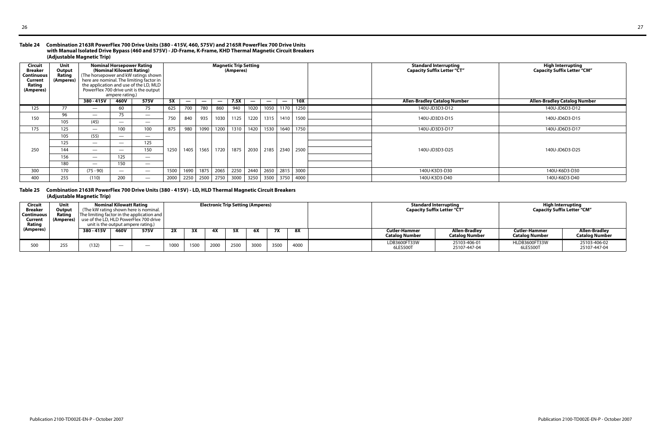#### **Table 24 Combination 2163R PowerFlex 700 Drive Units (380 - 415V, 460, 575V) and 2165R PowerFlex 700 Drive Units with Manual Isolated Drive Bypass (460 and 575V) - JD-Frame, K-Frame, KHD Thermal Magnetic Circuit Breakers (Adjustable Magnetic Trip)**

#### **Table 25 Combination 2163R PowerFlex 700 Drive Units (380 - 415V) - LD, HLD Thermal Magnetic Circuit Breakers (Adjustable Magnetic Trip)**

| <b>Circuit</b><br><b>Breaker</b><br><b>Continuous</b><br>Current<br>Rating<br>(Amperes) | <b>Unit</b><br>Output<br>Rating<br>(Amperes) | (The horsepower and kW ratings shown<br>here are nominal. The limiting factor in<br>the application and use of the LD, MLD<br>PowerFlex 700 drive unit is the output | <b>Nominal Horsepower Rating</b><br>(Nominal Kilowatt Rating)<br>ampere rating.) |                          |      |                          |                          | <b>Magnetic Trip Setting</b> | (Amperes) |                          |                          |                          |            | <b>Standard Interrupting</b><br><b>Capacity Suffix Letter "CT"</b> | High Interrupting<br>Capacity Suffix Letter "CM" |
|-----------------------------------------------------------------------------------------|----------------------------------------------|----------------------------------------------------------------------------------------------------------------------------------------------------------------------|----------------------------------------------------------------------------------|--------------------------|------|--------------------------|--------------------------|------------------------------|-----------|--------------------------|--------------------------|--------------------------|------------|--------------------------------------------------------------------|--------------------------------------------------|
|                                                                                         |                                              | 380 - 415V                                                                                                                                                           | 460V                                                                             | 575V                     | 5X   | $\overline{\phantom{a}}$ | $\overline{\phantom{a}}$ | $\overline{\phantom{a}}$     | 7.5X      | $\overline{\phantom{a}}$ | $\overline{\phantom{0}}$ | $\overline{\phantom{a}}$ | <b>10X</b> | <b>Allen-Bradley Catalog Number</b>                                | <b>Allen-Bradley Catalog Number</b>              |
| 125                                                                                     | 77                                           | $\overline{\phantom{a}}$                                                                                                                                             | 60                                                                               | 75                       | 625  | 700                      | 780                      | 860                          | 940       | 1020                     | 1050                     |                          | 1170 1250  | 140U-JD3D3-D12                                                     | 140U-JD6D3-D12                                   |
| 150                                                                                     | 96                                           | $\overline{\phantom{m}}$                                                                                                                                             | 75                                                                               | $\overline{\phantom{m}}$ | 750  | 840                      | 935                      | 1030                         | 1125      | 1220                     | 1315                     |                          | 1410 1500  | 140U-JD3D3-D15                                                     | 140U-JD6D3-D15                                   |
|                                                                                         | 105                                          | (45)                                                                                                                                                                 | $\overline{\phantom{a}}$                                                         |                          |      |                          |                          |                              |           |                          |                          |                          |            |                                                                    |                                                  |
| 175                                                                                     | 125                                          | $\overline{\phantom{a}}$                                                                                                                                             | 100                                                                              | 100                      | 875  | 980                      | 1090                     | 1200                         | 1310      | 1420                     | 1530                     | 1640                     | 1750       | 140U-JD3D3-D17                                                     | 140U-JD6D3-D17                                   |
| 250                                                                                     | 105                                          | (55)                                                                                                                                                                 | $\overline{\phantom{a}}$                                                         |                          |      |                          | 1565                     | 1720                         | 1875      | 2030                     | 2185                     |                          |            |                                                                    |                                                  |
|                                                                                         | 125                                          |                                                                                                                                                                      |                                                                                  | 125                      |      |                          |                          |                              |           |                          |                          | 2340 2500                |            |                                                                    |                                                  |
|                                                                                         | 144                                          |                                                                                                                                                                      | $\overline{\phantom{a}}$                                                         | 150                      | 1250 | 1405                     |                          |                              |           |                          |                          |                          |            | 140U-JD3D3-D25                                                     | 140U-JD6D3-D25                                   |
|                                                                                         | 156                                          | $\overline{\phantom{a}}$                                                                                                                                             | 125                                                                              | $\overline{\phantom{a}}$ |      |                          |                          |                              |           |                          |                          |                          |            |                                                                    |                                                  |
|                                                                                         | 180                                          |                                                                                                                                                                      | 150                                                                              |                          |      |                          |                          |                              |           |                          |                          |                          |            |                                                                    |                                                  |
| 300                                                                                     | 170                                          | (75 - 90)                                                                                                                                                            | $\overline{\phantom{a}}$                                                         | $\overline{\phantom{m}}$ | 1500 | 1690                     | 1875                     | 2065                         | 2250      | 2440                     | 2650                     |                          | 2815 3000  | 140U-K3D3-D30                                                      | 140U-K6D3-D30                                    |
| 400                                                                                     | 255                                          | (110)                                                                                                                                                                | 200                                                                              | $\overline{\phantom{m}}$ | 2000 | 2250                     | 2500                     | 2750                         | 3000      | 3250                     | 3500                     | 3750                     | 4000       | 140U-K3D3-D40                                                      | 140U-K6D3-D40                                    |

| <b>Circuit</b><br><b>Breaker</b><br>Continuous<br>Current<br>Rating<br>(Amperes) | Unit<br>Output<br><b>Ratinc</b><br>(Amperes) | (The kW rating shown here is nominal.<br>The limiting factor in the application and  <br>unit is the output ampere rating.) | <b>Nominal Kilowatt Rating</b> | use of the LD, HLD PowerFlex 700 drive |      |      |      |      | <b>Electronic Trip Setting (Amperes)</b> |      |      |                                               | <b>Standard Interrupting</b><br><b>Capacity Suffix Letter "CT"</b> |                                 | High Interrupting<br><b>Capacity Suffix Letter "CM"</b> |  |
|----------------------------------------------------------------------------------|----------------------------------------------|-----------------------------------------------------------------------------------------------------------------------------|--------------------------------|----------------------------------------|------|------|------|------|------------------------------------------|------|------|-----------------------------------------------|--------------------------------------------------------------------|---------------------------------|---------------------------------------------------------|--|
|                                                                                  |                                              | 380 - 415V                                                                                                                  | 460V                           | 575V                                   | 2X   | 3X   | 4X   |      | 6Х                                       |      | 8X   | <b>Cutler-Hammer</b><br><b>Catalog Number</b> | Allen-Bradley<br>Catalog Number                                    | Cutler-Hammer<br>Catalog Number | <b>Allen-Bradlev</b><br><b>Catalog Number</b>           |  |
| 500                                                                              | 255                                          | (132)                                                                                                                       |                                |                                        | 1000 | 1500 | 2000 | 2500 | 3000                                     | 3500 | 4000 | LDB3600FT33W<br>6LES500T                      | 25103-406-01<br>25107-447-04                                       | HLDB3600FT33W<br>6LES500T       | 25103-406-02<br>25107-447-04                            |  |